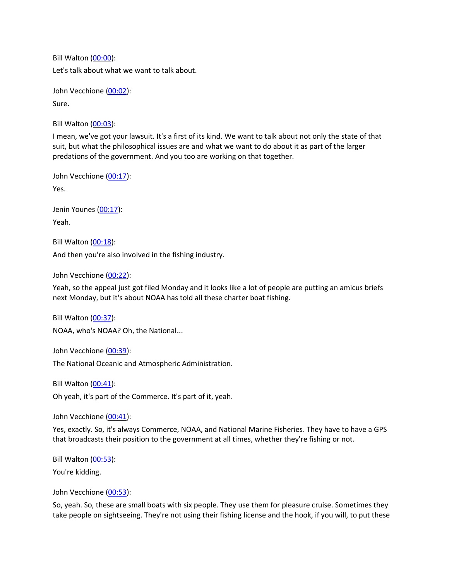Bill Walton [\(00:00\)](https://www.rev.com/transcript-editor/Edit?token=HRq-vasXXpzLWMN3TJJzw2f61SR6yxNumVSeXGs8b0S89AgQ8uCwqMwWg4kG7Q-UXC-PU9ZeK1245_R35ne7s9Z97hw&loadFrom=DocumentDeeplink&ts=0.92): Let's talk about what we want to talk about.

John Vecchione [\(00:02\)](https://www.rev.com/transcript-editor/Edit?token=XgmwY01nqgKrqwFpAocsP_iHZXlANHLljiBC1232rr5pllTSNlPi26fhYad2dxmyHH32pa5UNqhbNpm2m1IYQV1Kbvw&loadFrom=DocumentDeeplink&ts=2.39): Sure.

Bill Walton [\(00:03\)](https://www.rev.com/transcript-editor/Edit?token=EOXqrBcBZhTPFh6Uuq-UAyhmUDdI4sFld7fUuKXw6Gz0sOMX1Yx8eS2bs1BA9JGNG0XiIz8nREEWKQ6hWRpe477fvJ0&loadFrom=DocumentDeeplink&ts=3.04):

I mean, we've got your lawsuit. It's a first of its kind. We want to talk about not only the state of that suit, but what the philosophical issues are and what we want to do about it as part of the larger predations of the government. And you too are working on that together.

John Vecchione [\(00:17\)](https://www.rev.com/transcript-editor/Edit?token=bRcf1rqLYsfDUSa0r9fFbZQu2-7v9FxvbIBMYCp728B3D5C95VzsoFDELKTsH0UdtepMa9pyoGI7Z_FXl-v0ks9vMQ8&loadFrom=DocumentDeeplink&ts=17.3):

Yes.

Jenin Younes [\(00:17\)](https://www.rev.com/transcript-editor/Edit?token=lpkesbiREsA518BrQa9aHXpDWOFXhQe3M3y4Ct6TMumG_wu3jVoRqX0VJPN9FX_KPTEvlDUwi7IDNIsYn5FE3iPCG4c&loadFrom=DocumentDeeplink&ts=17.49): Yeah.

Bill Walton [\(00:18\)](https://www.rev.com/transcript-editor/Edit?token=veEcm54IJgR-g1iFkElIEm5CaW--1ufoS9zowRXYf7TaC0jtTAJR34C4kI_yYXNplCM3SJFPTJTkYHvuBDF_DRN3dlg&loadFrom=DocumentDeeplink&ts=18.62):

And then you're also involved in the fishing industry.

John Vecchione [\(00:22\)](https://www.rev.com/transcript-editor/Edit?token=oY4DoMu3nGf0N_7vtfz4tmYGWyPUX3hmXxrAnY-yU6pKSI4FUJCWo2yNLTlykS-mjVckwvSCDBqUOmoqFgUYg8uAEW8&loadFrom=DocumentDeeplink&ts=22.61):

Yeah, so the appeal just got filed Monday and it looks like a lot of people are putting an amicus briefs next Monday, but it's about NOAA has told all these charter boat fishing.

Bill Walton [\(00:37\)](https://www.rev.com/transcript-editor/Edit?token=mnhOvGDwBj-Vw1j4GV1IddOoJDNGX_6v8YfkNnVR0kTO6x8cNAmOGpSaCEurH5QdOlnT9o2bvbdpN_W3zZ-SetsHgD8&loadFrom=DocumentDeeplink&ts=37.12): NOAA, who's NOAA? Oh, the National...

John Vecchione [\(00:39\)](https://www.rev.com/transcript-editor/Edit?token=fgBtB66pNVFHcp8XALRq8TUFHf7kLaMJ8lhJqwaQ4ltkb4Ly_IOIVEtknDZtwUpyJFRS39wII4YUGD0Wi36Ay1vGLOA&loadFrom=DocumentDeeplink&ts=39.76):

The National Oceanic and Atmospheric Administration.

Bill Walton [\(00:41\)](https://www.rev.com/transcript-editor/Edit?token=mZkqZhfZ9TgnEqFXmpxzGm5W7YmFENqNPipZsyR-Fu30iTTWEe_r03KndcpBUNH7dYyra9k_fka2Z7LpOM8mVwNYA0E&loadFrom=DocumentDeeplink&ts=41.14): Oh yeah, it's part of the Commerce. It's part of it, yeah.

John Vecchione [\(00:41\)](https://www.rev.com/transcript-editor/Edit?token=ISadsTinA33L-syq5ZkYXwmKxNonD8fEcCU0AfH1nMbTTkUn_L1kzMFNqGTqjaOkEir3ww72Bbg5uZu8iKPkDiZt9uA&loadFrom=DocumentDeeplink&ts=41.94):

Yes, exactly. So, it's always Commerce, NOAA, and National Marine Fisheries. They have to have a GPS that broadcasts their position to the government at all times, whether they're fishing or not.

Bill Walton [\(00:53\)](https://www.rev.com/transcript-editor/Edit?token=PZ-Kgodw39zIN3cFLWzIU2fqAIHc52MGfAW_OYL5pgjzjkOlxDa3-hlk7guoblZVEFQk6i4zZv0ddSPj9MPOJ_LbdPk&loadFrom=DocumentDeeplink&ts=53.12): You're kidding.

John Vecchione [\(00:53\)](https://www.rev.com/transcript-editor/Edit?token=l3jrg3ogjyTknyTzEuRZtz9J43tM0Wd1YCMalchH1Lljag5zCi0QHrhWtgmXkjblKUL_mc_WKUnk33VupXwmOP2Qlxk&loadFrom=DocumentDeeplink&ts=53.8):

So, yeah. So, these are small boats with six people. They use them for pleasure cruise. Sometimes they take people on sightseeing. They're not using their fishing license and the hook, if you will, to put these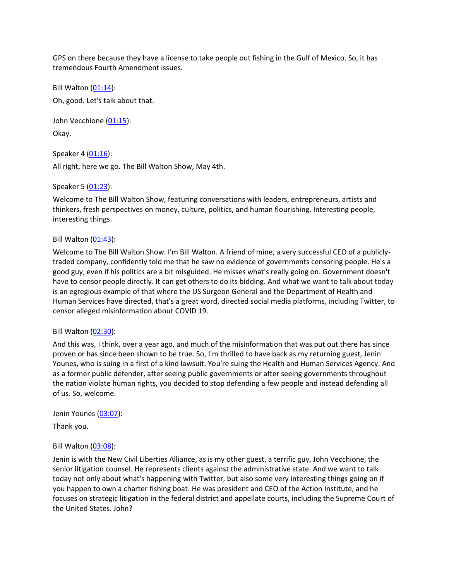GPS on there because they have a license to take people out fishing in the Gulf of Mexico. So, it has tremendous Fourth Amendment issues.

Bill Walton [\(01:14\)](https://www.rev.com/transcript-editor/Edit?token=0Do9KuKSeL9XyOuqZk-9gNwyCrpftsy5iBlkDYc4qgoBY7eDMPP27hRuQjJlZRqACpu8Zn8c2wgIBJSpbKPJktjOQ2s&loadFrom=DocumentDeeplink&ts=74.43):

Oh, good. Let's talk about that.

John Vecchione [\(01:15\)](https://www.rev.com/transcript-editor/Edit?token=WVmIwT_N1UYqixMvHV9u2FbG0rcp80AYe5ZRXop97uBW7P02kWLb8OrflORYIh92C4YJLVM6kuyUADhsNwiMFItc-Eo&loadFrom=DocumentDeeplink&ts=75.5): Okay.

Speaker 4 [\(01:16\)](https://www.rev.com/transcript-editor/Edit?token=n5fXzAdOPmdtGLr2hzVZ544FGZb1FjvwO0wjLgBC-Ffq4nRuj-wacmnwhC1ZFrwn4zLM60cNpTwElCb1rNi2tUUcRJI&loadFrom=DocumentDeeplink&ts=76.02): All right, here we go. The Bill Walton Show, May 4th.

Speaker 5 [\(01:23\)](https://www.rev.com/transcript-editor/Edit?token=u4M992jNcfPx7QbTyuCgFZIgaqlOXD1wZ9ETFIMnQ5KpJ4k3cej3bkUpj3xsm-weJYIgNEvT4sWE2d1lPgs0duPz3AU&loadFrom=DocumentDeeplink&ts=83.61):

Welcome to The Bill Walton Show, featuring conversations with leaders, entrepreneurs, artists and thinkers, fresh perspectives on money, culture, politics, and human flourishing. Interesting people, interesting things.

### Bill Walton [\(01:43\)](https://www.rev.com/transcript-editor/Edit?token=eZRf1lhYXVOJ7CwK1-QdvkY02OEcTNy_GZG5T4KZ-RFRf3pRy6RJyxEYjNU5Ib2OvqE8MfvwHWcw2iv2Uk-5HraQjic&loadFrom=DocumentDeeplink&ts=103.9):

Welcome to The Bill Walton Show. I'm Bill Walton. A friend of mine, a very successful CEO of a publiclytraded company, confidently told me that he saw no evidence of governments censoring people. He's a good guy, even if his politics are a bit misguided. He misses what's really going on. Government doesn't have to censor people directly. It can get others to do its bidding. And what we want to talk about today is an egregious example of that where the US Surgeon General and the Department of Health and Human Services have directed, that's a great word, directed social media platforms, including Twitter, to censor alleged misinformation about COVID 19.

### Bill Walton [\(02:30\)](https://www.rev.com/transcript-editor/Edit?token=oMdMj9YSpWcFDjqE74uQUPdQQzrc0zeKpHUfx8EFmfXz0wlwGs1kzwrlZdHuensZzlZgkTaaYBxPOtMl2iAEgkbwRtU&loadFrom=DocumentDeeplink&ts=150.83):

And this was, I think, over a year ago, and much of the misinformation that was put out there has since proven or has since been shown to be true. So, I'm thrilled to have back as my returning guest, Jenin Younes, who is suing in a first of a kind lawsuit. You're suing the Health and Human Services Agency. And as a former public defender, after seeing public governments or after seeing governments throughout the nation violate human rights, you decided to stop defending a few people and instead defending all of us. So, welcome.

Jenin Younes [\(03:07\)](https://www.rev.com/transcript-editor/Edit?token=0TeiW85xsMxRX_QA23mZpEtXCg8oD6YgfqZtE_44eF_u4PhvCTiyuxw4sHRyloIE1YWi5mrBvInViAFaKDdy0zQrz_g&loadFrom=DocumentDeeplink&ts=187.43):

Thank you.

# Bill Walton [\(03:08\)](https://www.rev.com/transcript-editor/Edit?token=eWgjySq93yfJyYm_ydrVN3WUT_AVDdLLkgSHLTa5Z0FM_KI-8-yq34QYZVzlklE3Ws106GNw9oybz9ozF5APl0XbLTY&loadFrom=DocumentDeeplink&ts=188.96):

Jenin is with the New Civil Liberties Alliance, as is my other guest, a terrific guy, John Vecchione, the senior litigation counsel. He represents clients against the administrative state. And we want to talk today not only about what's happening with Twitter, but also some very interesting things going on if you happen to own a charter fishing boat. He was president and CEO of the Action Institute, and he focuses on strategic litigation in the federal district and appellate courts, including the Supreme Court of the United States. John?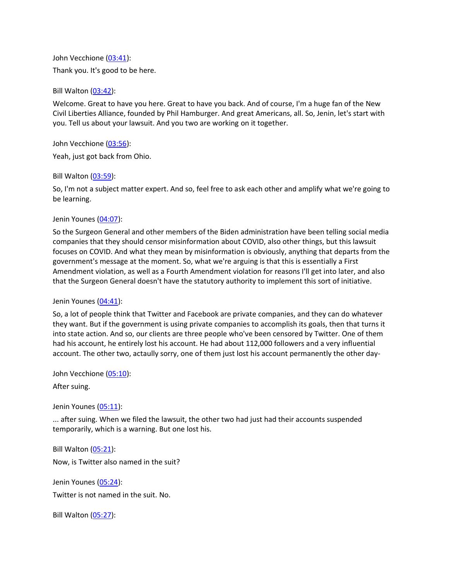John Vecchione [\(03:41\)](https://www.rev.com/transcript-editor/Edit?token=njvQNcI8q_h0z3k36ouN0E3hldI_aNrLk7miCdRvIrWRIiKfWQGeoUOeUpJglikNqIcwt4fRUkKsVTIVo0isNJTeLlY&loadFrom=DocumentDeeplink&ts=221.83): Thank you. It's good to be here.

Bill Walton [\(03:42\)](https://www.rev.com/transcript-editor/Edit?token=ROYRTsxF59QsOZynZQ8DGZX31s3SuJPI540ElB2_pIsXQda9nP7XwQ-lt-pnv86yd-CslzTJTvwFVVTT0ktl6Qngcx4&loadFrom=DocumentDeeplink&ts=222.98):

Welcome. Great to have you here. Great to have you back. And of course, I'm a huge fan of the New Civil Liberties Alliance, founded by Phil Hamburger. And great Americans, all. So, Jenin, let's start with you. Tell us about your lawsuit. And you two are working on it together.

John Vecchione [\(03:56\)](https://www.rev.com/transcript-editor/Edit?token=6NUmNsV2B-E7YR_p1H_QYpWC4DzMrxLLsZi-5pUcRBuiyHlh7oMl6PlEbanwWfC8g0cyu8hs3at6mYJymjv1I52cQUU&loadFrom=DocumentDeeplink&ts=236.94):

Yeah, just got back from Ohio.

Bill Walton [\(03:59\)](https://www.rev.com/transcript-editor/Edit?token=eofd3X4uW29Dij3xki-SOSKVFN-VKxQGuydwTNo5gM4Vy3rrSP-2dJXPRFO7j71EXa_rAGlUXQDAap_5g2m2vVVr4cc&loadFrom=DocumentDeeplink&ts=239.51):

So, I'm not a subject matter expert. And so, feel free to ask each other and amplify what we're going to be learning.

Jenin Younes [\(04:07\)](https://www.rev.com/transcript-editor/Edit?token=o8ic8SCL_BR62Ex0LPFJUGxrHSJNEwo22-7I2hRGor2Wz9zrFrOHh_Qow_Y9mRhjT41HdzkSUS16YLPfA_tLtao1pqs&loadFrom=DocumentDeeplink&ts=247.63):

So the Surgeon General and other members of the Biden administration have been telling social media companies that they should censor misinformation about COVID, also other things, but this lawsuit focuses on COVID. And what they mean by misinformation is obviously, anything that departs from the government's message at the moment. So, what we're arguing is that this is essentially a First Amendment violation, as well as a Fourth Amendment violation for reasons I'll get into later, and also that the Surgeon General doesn't have the statutory authority to implement this sort of initiative.

#### Jenin Younes [\(04:41\)](https://www.rev.com/transcript-editor/Edit?token=tn5Rv7cfPgAXIRn1bMA7qpUvaDaqzmC78k7BhBr-Io2hgilGt31P7UgrMEjYqW5p8WJK6el9L8N4-6sTrnTvwp_9G1A&loadFrom=DocumentDeeplink&ts=281.15):

So, a lot of people think that Twitter and Facebook are private companies, and they can do whatever they want. But if the government is using private companies to accomplish its goals, then that turns it into state action. And so, our clients are three people who've been censored by Twitter. One of them had his account, he entirely lost his account. He had about 112,000 followers and a very influential account. The other two, actaully sorry, one of them just lost his account permanently the other day-

John Vecchione [\(05:10\)](https://www.rev.com/transcript-editor/Edit?token=txF2ktyhYI7dkKxdXU0G-pF2aNPAPi7McOf3ZSUutWJRIEM-5V7VOnjJ2UR393kOLwI1TcU_ja1vX96kMCr67scqz8c&loadFrom=DocumentDeeplink&ts=310.88):

After suing.

Jenin Younes [\(05:11\)](https://www.rev.com/transcript-editor/Edit?token=1RScm8k__oGErpm_qcxwTTqTCuH0zwR2NWQ7P-AwWF8GsgJR7_gXHt-RXZ7ud65YAvX0adOtdi4U1eo02wMY2tCS7-4&loadFrom=DocumentDeeplink&ts=311.67):

... after suing. When we filed the lawsuit, the other two had just had their accounts suspended temporarily, which is a warning. But one lost his.

Bill Walton [\(05:21\)](https://www.rev.com/transcript-editor/Edit?token=Ozq_XRtj4Im6pwSxiOXz7Eu5Dwb0giAttk1KWBO39VeNvJ035exB4_INtrHVsYz1NgrCm6RHQymUcTK-OKfIP6x6pDc&loadFrom=DocumentDeeplink&ts=321.99): Now, is Twitter also named in the suit?

Jenin Younes [\(05:24\)](https://www.rev.com/transcript-editor/Edit?token=pIq8byoc_WN5-4mTjtPvdNvNz1XwWpDxXc86j6gLE0fatW8cH2b_6vas6xB_r3pT3exk8Pre5OSeZZkK1TOBtGe98gc&loadFrom=DocumentDeeplink&ts=324.38): Twitter is not named in the suit. No.

Bill Walton [\(05:27\)](https://www.rev.com/transcript-editor/Edit?token=HsSk0pZba-BrGbPjsg25Z8D--jFgP8sqBdM65bsOapDtliMCUfDyPF2aM86XsPjoJ2If-TFKHOBILDqxePWDGWUFAS0&loadFrom=DocumentDeeplink&ts=327.27):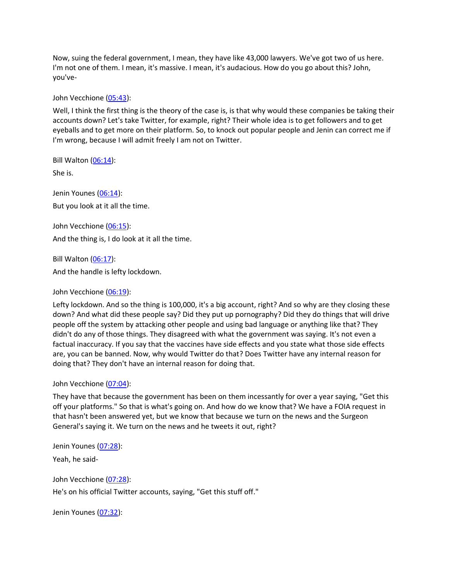Now, suing the federal government, I mean, they have like 43,000 lawyers. We've got two of us here. I'm not one of them. I mean, it's massive. I mean, it's audacious. How do you go about this? John, you've-

John Vecchione [\(05:43\)](https://www.rev.com/transcript-editor/Edit?token=5jyFAvOwyXH-cttUUlJ-OlXAg6TWpMeBMaR5pCAK_x23afIeS5COVLYO7fm42YTRurCfvbtJtqR3bdHY4S1V8ZCu9Kg&loadFrom=DocumentDeeplink&ts=343.97):

Well, I think the first thing is the theory of the case is, is that why would these companies be taking their accounts down? Let's take Twitter, for example, right? Their whole idea is to get followers and to get eyeballs and to get more on their platform. So, to knock out popular people and Jenin can correct me if I'm wrong, because I will admit freely I am not on Twitter.

Bill Walton  $(06:14)$ :

She is.

Jenin Younes [\(06:14\)](https://www.rev.com/transcript-editor/Edit?token=vdqNWfZ0nDr0XAC_TdBBjb0AOFxLvGf8jo_-OvxoTczxZqSVoAm15T7qR_fBfm2-fk-5rJilfT1JayT8_1HsyJrEw90&loadFrom=DocumentDeeplink&ts=374.28): But you look at it all the time.

John Vecchione [\(06:15\)](https://www.rev.com/transcript-editor/Edit?token=has8dWtc_GNdrle4X7VdpnWd1WBGz0jcqhhCe88PC0-HIN9WVl3RlOl35K-hr8SrG7oIgNnFxz1bIzxD_WuBPDhXZnM&loadFrom=DocumentDeeplink&ts=375.66):

And the thing is, I do look at it all the time.

Bill Walton [\(06:17\)](https://www.rev.com/transcript-editor/Edit?token=mhasMynnkTw0JnE8nWfkGvbF6P3ICDpxSn2tBJHIBAd5t95tKOhn6n0AdtDKfXxd_aDi_tyo7-rYTMLAOd1YDny8QyE&loadFrom=DocumentDeeplink&ts=377.01):

And the handle is lefty lockdown.

John Vecchione [\(06:19\)](https://www.rev.com/transcript-editor/Edit?token=nVyd9Os7srkbA3j7mjUPMQCp8b0rBsERC01V0jM0zs4TNGxFQ5d14ukvTasPYYCFC4SK7_q9IodzwPSr7t3_WYEwwbU&loadFrom=DocumentDeeplink&ts=379.09):

Lefty lockdown. And so the thing is 100,000, it's a big account, right? And so why are they closing these down? And what did these people say? Did they put up pornography? Did they do things that will drive people off the system by attacking other people and using bad language or anything like that? They didn't do any of those things. They disagreed with what the government was saying. It's not even a factual inaccuracy. If you say that the vaccines have side effects and you state what those side effects are, you can be banned. Now, why would Twitter do that? Does Twitter have any internal reason for doing that? They don't have an internal reason for doing that.

#### John Vecchione [\(07:04\)](https://www.rev.com/transcript-editor/Edit?token=Mozi5VOykgHgkjY1mo__xyfzk9rnWVVTL5W-_8bV8Guiw5nUkX_lqL0AkzNuXdoHhYFbCy4K4b69ky7COPqO__KA5Og&loadFrom=DocumentDeeplink&ts=424.27):

They have that because the government has been on them incessantly for over a year saying, "Get this off your platforms." So that is what's going on. And how do we know that? We have a FOIA request in that hasn't been answered yet, but we know that because we turn on the news and the Surgeon General's saying it. We turn on the news and he tweets it out, right?

Jenin Younes [\(07:28\)](https://www.rev.com/transcript-editor/Edit?token=CaV-d3oFOnIG6rdMsPW3Y9xXn_vLxljqPwQpBZ_wSKBC1I6swL6pZevZB4OHYIjfpcBj3z8gkHRdSUmdxV5b4F-bpHA&loadFrom=DocumentDeeplink&ts=448.28):

Yeah, he said-

John Vecchione [\(07:28\)](https://www.rev.com/transcript-editor/Edit?token=WfN5IXCENtTcLFnfn5RsCf045XlGeijAyfMZpI_cgI_gMETg8WSwIDe8Uv5L25Ij9QPUD0PgL4q6hvXvzFal9BmolYg&loadFrom=DocumentDeeplink&ts=448.51):

He's on his official Twitter accounts, saying, "Get this stuff off."

Jenin Younes [\(07:32\)](https://www.rev.com/transcript-editor/Edit?token=xGiPPSxQwDVpuSceHT08NcEjPOnfkQGt2uyJPCUaAqPSXykN6iDy9_72K8j-ZeyrnRVLqTKVvDuUPbo42ckPhNGB6gY&loadFrom=DocumentDeeplink&ts=452.24):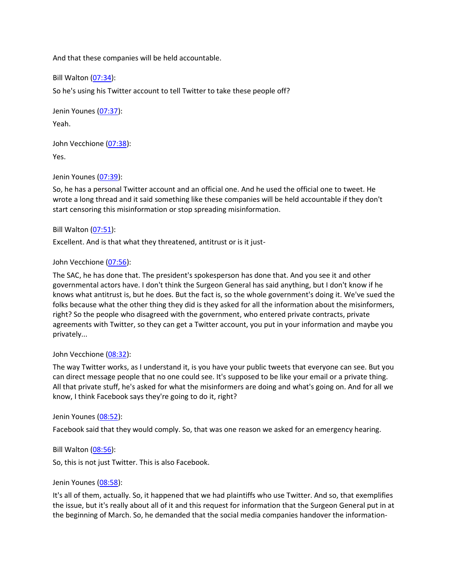And that these companies will be held accountable.

Bill Walton [\(07:34\)](https://www.rev.com/transcript-editor/Edit?token=-IEpZMhhwObw7qxKP2MRURVBzI8NuUfj_d8Qg4vh7US-ltSt-PUFE1jOrenHranL5ftbfgu230RvMI50bAOPBbHEQgQ&loadFrom=DocumentDeeplink&ts=454.52):

So he's using his Twitter account to tell Twitter to take these people off?

Jenin Younes [\(07:37\)](https://www.rev.com/transcript-editor/Edit?token=UtA82bVhjcpWii2wvh3A0RuVSvOkYIO9yBuMxj5OpfrhchnefQtxo72ExYCN8CTZwJxTUcwso0Zvg6ESdHV7j1uSdj0&loadFrom=DocumentDeeplink&ts=457.61): Yeah.

John Vecchione [\(07:38\)](https://www.rev.com/transcript-editor/Edit?token=twcvjMZ0Nb5jTaKDjxbQxGQcFmYVqHkflDmL07qa4Amx0AjreWftKT6MOfhXFzhCcMn3bMnVhmFCvGOHbbF1v7fTQag&loadFrom=DocumentDeeplink&ts=458.29): Yes.

Jenin Younes [\(07:39\)](https://www.rev.com/transcript-editor/Edit?token=zk_IbsTivmtPDayG3nlTa65U84Is1LT_8mz-xMzcVEJ36K5aMZz02sY7OvRe36jZ3PcrtvLmuOqRZ80Iq_06yqn5Y8c&loadFrom=DocumentDeeplink&ts=459.63):

So, he has a personal Twitter account and an official one. And he used the official one to tweet. He wrote a long thread and it said something like these companies will be held accountable if they don't start censoring this misinformation or stop spreading misinformation.

Bill Walton [\(07:51\)](https://www.rev.com/transcript-editor/Edit?token=GKN4h8Uvtf4JTj9MqzEbL1Hz8_w253X9JSyx2EBMcGL8XKaWjy8xXtfl8Qhu0DA_o1Hl9UpDw4SOARbnj391HPkNRIg&loadFrom=DocumentDeeplink&ts=471.99):

Excellent. And is that what they threatened, antitrust or is it just-

#### John Vecchione [\(07:56\)](https://www.rev.com/transcript-editor/Edit?token=lKvFISIbPLNOURDay7yO__J8fld3txka0cC-HsPxqkyCiFYk1Chh-jPYTFEGF-2ZG3IiKgeiDGEBXqD1Oq0upoysvfM&loadFrom=DocumentDeeplink&ts=476.75):

The SAC, he has done that. The president's spokesperson has done that. And you see it and other governmental actors have. I don't think the Surgeon General has said anything, but I don't know if he knows what antitrust is, but he does. But the fact is, so the whole government's doing it. We've sued the folks because what the other thing they did is they asked for all the information about the misinformers, right? So the people who disagreed with the government, who entered private contracts, private agreements with Twitter, so they can get a Twitter account, you put in your information and maybe you privately...

#### John Vecchione [\(08:32\)](https://www.rev.com/transcript-editor/Edit?token=_3jf0LqwGuCBeKb85df47e01mznuoulTBHjBaapuAVsDR6HPEVoj2JN3t6tLWcJIuvj2kFEcSr7OUNbUcTvMozdCf1c&loadFrom=DocumentDeeplink&ts=512.53):

The way Twitter works, as I understand it, is you have your public tweets that everyone can see. But you can direct message people that no one could see. It's supposed to be like your email or a private thing. All that private stuff, he's asked for what the misinformers are doing and what's going on. And for all we know, I think Facebook says they're going to do it, right?

#### Jenin Younes [\(08:52\)](https://www.rev.com/transcript-editor/Edit?token=XKt70NvQ_p2R-258dYNEu9jG2Vvs0IaMii6op736IYexEIj4-SaD74htiw53UtuIeEqBilUCfGEpzU8hTG9RbMxBY8k&loadFrom=DocumentDeeplink&ts=532.63):

Facebook said that they would comply. So, that was one reason we asked for an emergency hearing.

Bill Walton [\(08:56\)](https://www.rev.com/transcript-editor/Edit?token=RdM2pDz6kkFcIy9Y8HUGiY6ffVRQpzp3EmZ-kWITDAk3V2NXCJZ8EdRP_x-gE8tfWtJkn6fj_L0zROI3jH5UXs8zeJk&loadFrom=DocumentDeeplink&ts=536.52):

So, this is not just Twitter. This is also Facebook.

#### Jenin Younes [\(08:58\)](https://www.rev.com/transcript-editor/Edit?token=Vzd_fmxO-wdOPY5oQsKcbKBfB6nhnxCciS4AALvrvU3bHPsx4-FMEsvM9o5tSsJptUhwSlnuvxiRcuLgrGsS328eafU&loadFrom=DocumentDeeplink&ts=538.37):

It's all of them, actually. So, it happened that we had plaintiffs who use Twitter. And so, that exemplifies the issue, but it's really about all of it and this request for information that the Surgeon General put in at the beginning of March. So, he demanded that the social media companies handover the information-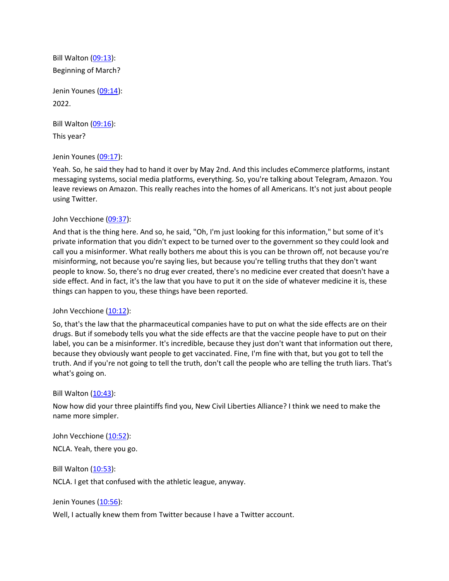Bill Walton [\(09:13\)](https://www.rev.com/transcript-editor/Edit?token=nbls2rikWeRkb3akghhjsbmXuv3LmPa0f7lgGcCzZvlgimHVQ1TduNhqB1dJKcA52LcQoG6Hfx0lSG7L8w5EWSrRjQc&loadFrom=DocumentDeeplink&ts=553.49): Beginning of March?

Jenin Younes [\(09:14\)](https://www.rev.com/transcript-editor/Edit?token=s6PQa5kxvpvmMx2idmjCMUaOhKnTtr3fz7anCUBztdQbRny0D7fcNv84HQC_P9QetRj2UwLkKfiT4GB0JzxKmvNYazg&loadFrom=DocumentDeeplink&ts=554.93): 2022.

Bill Walton [\(09:16\)](https://www.rev.com/transcript-editor/Edit?token=m7e6TpKe5WyzDvetbLlgMTNR9BiIjhFCmWZ9i_ZBZW_TjDK2CjxVP_ZgKqNmaLeW5rgxotetjcDz4LvNqIIT14kkEnI&loadFrom=DocumentDeeplink&ts=556.54):

This year?

Jenin Younes [\(09:17\)](https://www.rev.com/transcript-editor/Edit?token=UwwnmnTCql5atbH7Qzs6RX4Wpd1n54USmUnbrJhqQgKwSbVlPc6yzVtOUp9VJM7Fj7Z-6pjzHPMkxBkRm8_w2PiNJY0&loadFrom=DocumentDeeplink&ts=557.11):

Yeah. So, he said they had to hand it over by May 2nd. And this includes eCommerce platforms, instant messaging systems, social media platforms, everything. So, you're talking about Telegram, Amazon. You leave reviews on Amazon. This really reaches into the homes of all Americans. It's not just about people using Twitter.

### John Vecchione [\(09:37\)](https://www.rev.com/transcript-editor/Edit?token=B2frUgoO_vNp2hLszEBT4SHQKN2RXXxeqDDdfDgeQ52BH8JVi4MkUZF7OHfKLZeOCFmr558tp731LRlWD1fBQGfRU0g&loadFrom=DocumentDeeplink&ts=577.55):

And that is the thing here. And so, he said, "Oh, I'm just looking for this information," but some of it's private information that you didn't expect to be turned over to the government so they could look and call you a misinformer. What really bothers me about this is you can be thrown off, not because you're misinforming, not because you're saying lies, but because you're telling truths that they don't want people to know. So, there's no drug ever created, there's no medicine ever created that doesn't have a side effect. And in fact, it's the law that you have to put it on the side of whatever medicine it is, these things can happen to you, these things have been reported.

### John Vecchione [\(10:12\)](https://www.rev.com/transcript-editor/Edit?token=_AF4PHhLmPDIbAsB8o7XXpJRkNgqt9AMQ3HhEZHcZjcAa3WhwbyvRE8NJrX2Kv8fhBiNMSSI7R7nn1NlcTwyJ6RcxBQ&loadFrom=DocumentDeeplink&ts=612.47):

So, that's the law that the pharmaceutical companies have to put on what the side effects are on their drugs. But if somebody tells you what the side effects are that the vaccine people have to put on their label, you can be a misinformer. It's incredible, because they just don't want that information out there, because they obviously want people to get vaccinated. Fine, I'm fine with that, but you got to tell the truth. And if you're not going to tell the truth, don't call the people who are telling the truth liars. That's what's going on.

### Bill Walton [\(10:43\)](https://www.rev.com/transcript-editor/Edit?token=lazus-UJMYO_Ybt1ukFCAEr882Av4bz-YNYYVC5O2QWKLdSWxZY7EivSzR1KmfJncCWeY1A6VAZCfk3efWrSKlsoP90&loadFrom=DocumentDeeplink&ts=643.57):

Now how did your three plaintiffs find you, New Civil Liberties Alliance? I think we need to make the name more simpler.

John Vecchione [\(10:52\)](https://www.rev.com/transcript-editor/Edit?token=2wFa2EqJt7R2q2cNGs_9asqz1yqqNVqdndbHVJzOb6K7Zx1Vp1i2lspPVy0gdIyg15HO9BcKxCeNtgvvkDr4HWVwCQ8&loadFrom=DocumentDeeplink&ts=652.33):

NCLA. Yeah, there you go.

Bill Walton [\(10:53\)](https://www.rev.com/transcript-editor/Edit?token=PjsKpY08pGkd3IJfabKxJB6g-Vv_-F1GaBV1Hv__5E9uuc7ChTfRf3iD_227Pb6LOsuCAUumzs9TQ9fIZ_uzu_ErzLU&loadFrom=DocumentDeeplink&ts=653.25):

NCLA. I get that confused with the athletic league, anyway.

Jenin Younes [\(10:56\)](https://www.rev.com/transcript-editor/Edit?token=zWizfX6-gswatvjY_8_akFHfzNOZCzoFz6zmS81JyrwduLAqYzbD9LtfYeE0MVe4Pghis55g90GxGy-yiJaeIDvCDVs&loadFrom=DocumentDeeplink&ts=656.39):

Well, I actually knew them from Twitter because I have a Twitter account.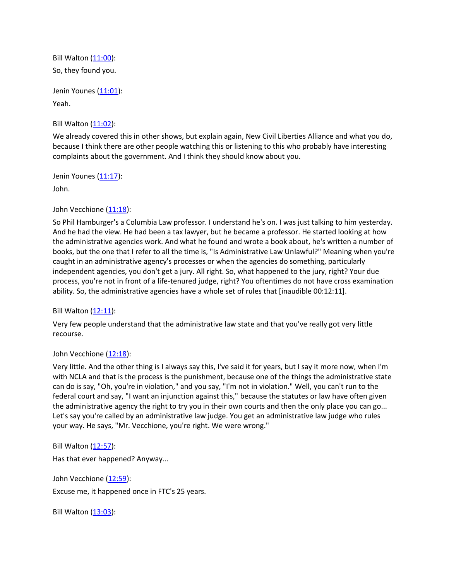Bill Walton [\(11:00\)](https://www.rev.com/transcript-editor/Edit?token=nOL3lR0iLeNScIUjUEJqySVLioQEWyraoBp5JMXbty3eJ-4f2zKiP4ZLPwFoPwkqQ2GnQOYYudky7V3dB9cfPdVL_c4&loadFrom=DocumentDeeplink&ts=660.29): So, they found you.

Jenin Younes [\(11:01\)](https://www.rev.com/transcript-editor/Edit?token=newkH8axnH-P1F7bHwKNatBsm5OvwG70UUlF9_cyM_QAT7Zk7YGgI7-A_ahghj26EBVnNO0bqp2VNcwEo7U-iBzf7jg&loadFrom=DocumentDeeplink&ts=661.92): Yeah.

Bill Walton [\(11:02\)](https://www.rev.com/transcript-editor/Edit?token=yDZLjb3NBbrRaIVRQvpowIP3lyQudns_MQpmjHOjCzIqx8Gl3jsRVpiyq0meKKbTIXvDcA0qqBNunZN1lJ2m3yNUfew&loadFrom=DocumentDeeplink&ts=662.72):

We already covered this in other shows, but explain again, New Civil Liberties Alliance and what you do, because I think there are other people watching this or listening to this who probably have interesting complaints about the government. And I think they should know about you.

Jenin Younes [\(11:17\)](https://www.rev.com/transcript-editor/Edit?token=fhRmCxyIZ3sN7gy-WHsRbpOiir6xnir9k5AnsQdda-J_Z4ia6UpjAP25xVTV4Js9Rn7uifnMu3MZBVjwc_a3jeIzLuU&loadFrom=DocumentDeeplink&ts=677.13): John.

John Vecchione [\(11:18\)](https://www.rev.com/transcript-editor/Edit?token=HOWLDNEW6-jvC3XrRG1OQduBLT2oi3VHzbGYyetu8UjzmL-A9JVKUDv-EWOejhVJ2ls6yiesAvkKolOTNJb7KyOBSP4&loadFrom=DocumentDeeplink&ts=678.21):

So Phil Hamburger's a Columbia Law professor. I understand he's on. I was just talking to him yesterday. And he had the view. He had been a tax lawyer, but he became a professor. He started looking at how the administrative agencies work. And what he found and wrote a book about, he's written a number of books, but the one that I refer to all the time is, "Is Administrative Law Unlawful?" Meaning when you're caught in an administrative agency's processes or when the agencies do something, particularly independent agencies, you don't get a jury. All right. So, what happened to the jury, right? Your due process, you're not in front of a life-tenured judge, right? You oftentimes do not have cross examination ability. So, the administrative agencies have a whole set of rules that [inaudible 00:12:11].

Bill Walton [\(12:11\)](https://www.rev.com/transcript-editor/Edit?token=wIrzc30Z-ohOC6gCH1MTOTzbCUEEzk4tKopzFx1rIAaknHeSQ9yoET1kSjjkpy6IMB2BX1DlTTDjfsVJ9bHN6qGGER4&loadFrom=DocumentDeeplink&ts=731.34):

Very few people understand that the administrative law state and that you've really got very little recourse.

# John Vecchione [\(12:18\)](https://www.rev.com/transcript-editor/Edit?token=rztXnmuG54a_jZS8zcQ_Kpj0rWmGJMWjx-Ie6F_qDMxSQl5gBG_0kqW-ntBydyX2CEbHvWiQvDNSpckULOmI8rcdBUc&loadFrom=DocumentDeeplink&ts=738.43):

Very little. And the other thing is I always say this, I've said it for years, but I say it more now, when I'm with NCLA and that is the process is the punishment, because one of the things the administrative state can do is say, "Oh, you're in violation," and you say, "I'm not in violation." Well, you can't run to the federal court and say, "I want an injunction against this," because the statutes or law have often given the administrative agency the right to try you in their own courts and then the only place you can go... Let's say you're called by an administrative law judge. You get an administrative law judge who rules your way. He says, "Mr. Vecchione, you're right. We were wrong."

Bill Walton [\(12:57\)](https://www.rev.com/transcript-editor/Edit?token=UV4S41gSRy-i4bDEkZYts9PD4khUhPbAC-mjTGwK_OfhKjzVBzqV_WmE1S6WDz4onCuCK9-RPdSavBdcESXyrH5tSsY&loadFrom=DocumentDeeplink&ts=777.55): Has that ever happened? Anyway...

John Vecchione [\(12:59\)](https://www.rev.com/transcript-editor/Edit?token=q_9zMzUXLRegUsvX6cOPK7plxGcBBakXnIU-Je98TtewVqBl6RCIyCQuH6uu1hDBqRva5PexPd7Lc1XUtsNl-0Qu4bo&loadFrom=DocumentDeeplink&ts=779.77): Excuse me, it happened once in FTC's 25 years.

Bill Walton [\(13:03\)](https://www.rev.com/transcript-editor/Edit?token=nXiffZ8InLQ40sEXJZnMqVR3MJrGE17OnazpOL3FXWTBsTj2RWzTu8Is5TUB0_3iqocRA4ZvgB7kxuvTg0Hlgm58p9o&loadFrom=DocumentDeeplink&ts=783.13):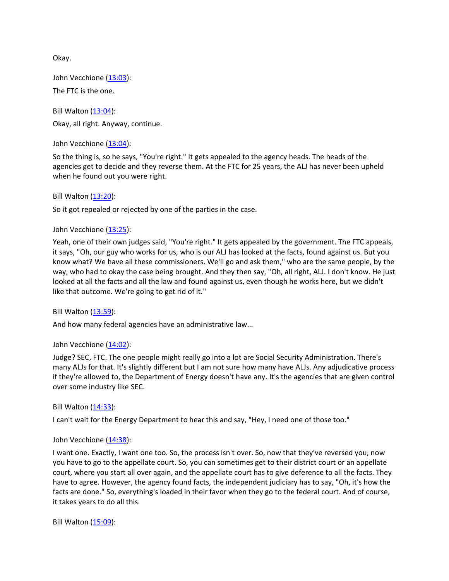Okay.

John Vecchione [\(13:03\)](https://www.rev.com/transcript-editor/Edit?token=_1ds04zcqqjQG8oq5aNqlkdyc480KeeZxndVVBunBRQAjTzwko1A_aMDZSNltTXYHcu_sbrVy6gi1X3-F-YqB8-nunM&loadFrom=DocumentDeeplink&ts=783.98): The FTC is the one.

Bill Walton [\(13:04\)](https://www.rev.com/transcript-editor/Edit?token=BVTWrSijVPJ5TLlMqH-uv405g-a54I7ix56O_D4OERhV1yT9Iha_D47WaE8GHhNU4WqghfF0BvsATi76A-CDLxUIUEo&loadFrom=DocumentDeeplink&ts=784.02): Okay, all right. Anyway, continue.

John Vecchione [\(13:04\)](https://www.rev.com/transcript-editor/Edit?token=Eej1H7c5XiQsFMsG8RysYjyTfY-Cw_sBRQ4BMIK0LiADFjQ31t8da3RkW77acdfQdD-kVq6AdO34EIHzNdxhm78Lpd0&loadFrom=DocumentDeeplink&ts=784.88):

So the thing is, so he says, "You're right." It gets appealed to the agency heads. The heads of the agencies get to decide and they reverse them. At the FTC for 25 years, the ALJ has never been upheld when he found out you were right.

Bill Walton [\(13:20\)](https://www.rev.com/transcript-editor/Edit?token=fleLYYKo7PmPLI3wylPMnPcmL2vrwrk9-GLrCd1oHtozlX2HM6xuZT501o8JjoroOOA5lpRcEWdJanGAYkeBsyYzviI&loadFrom=DocumentDeeplink&ts=800.44):

So it got repealed or rejected by one of the parties in the case.

### John Vecchione [\(13:25\)](https://www.rev.com/transcript-editor/Edit?token=q6TAMYLGZkrT-nUfe-w1VQ585tXNPEPgxL-W0BCkvRSGR_ElrNfy9ismIJ2xQ-XuwL1rd2zZqY5w6y9nJtesqcmJhO0&loadFrom=DocumentDeeplink&ts=805.82):

Yeah, one of their own judges said, "You're right." It gets appealed by the government. The FTC appeals, it says, "Oh, our guy who works for us, who is our ALJ has looked at the facts, found against us. But you know what? We have all these commissioners. We'll go and ask them," who are the same people, by the way, who had to okay the case being brought. And they then say, "Oh, all right, ALJ. I don't know. He just looked at all the facts and all the law and found against us, even though he works here, but we didn't like that outcome. We're going to get rid of it."

Bill Walton [\(13:59\)](https://www.rev.com/transcript-editor/Edit?token=veoBvzaNqtQ0_o_XCTN5qpyC7MOfeK3wJUBDpW_98U34USpS0XDJnUe-_8thsifks9yIHwP_MlGkTamZ83u6lHIpdQQ&loadFrom=DocumentDeeplink&ts=839.84):

And how many federal agencies have an administrative law...

### John Vecchione [\(14:02\)](https://www.rev.com/transcript-editor/Edit?token=FTnODHLW2qOYdoNwEjp4wGxFGJ_AdzB-lmAc33KshvbLkXer0nCG61cyjaWjGCRZoKHK37jr27seWlf1CLhXqHUcexE&loadFrom=DocumentDeeplink&ts=842.83):

Judge? SEC, FTC. The one people might really go into a lot are Social Security Administration. There's many ALJs for that. It's slightly different but I am not sure how many have ALJs. Any adjudicative process if they're allowed to, the Department of Energy doesn't have any. It's the agencies that are given control over some industry like SEC.

#### Bill Walton [\(14:33\)](https://www.rev.com/transcript-editor/Edit?token=j7NVgzrxywqAVfvUInQCaEr0MnqDt5Y9WkPxtLUOE1Y9QF_3zL643NUEFmC-40sBPx9Pna0ApRjpGVuVuYxzvKVXXU4&loadFrom=DocumentDeeplink&ts=873.55):

I can't wait for the Energy Department to hear this and say, "Hey, I need one of those too."

### John Vecchione [\(14:38\)](https://www.rev.com/transcript-editor/Edit?token=xGQoWiiBPSF4qLuLkjxfS4YFqLqcYrFH_hUBE0qyNMTmrwtww5o7VZQQ7aKn0lDiRydGF_duaOlo5DQ1O04SuqzUtsQ&loadFrom=DocumentDeeplink&ts=878.51):

I want one. Exactly, I want one too. So, the process isn't over. So, now that they've reversed you, now you have to go to the appellate court. So, you can sometimes get to their district court or an appellate court, where you start all over again, and the appellate court has to give deference to all the facts. They have to agree. However, the agency found facts, the independent judiciary has to say, "Oh, it's how the facts are done." So, everything's loaded in their favor when they go to the federal court. And of course, it takes years to do all this.

Bill Walton [\(15:09\)](https://www.rev.com/transcript-editor/Edit?token=wTuAPF25VDNuSTZA2ayPKtY9IgkcMJai1qFJ9FGCv-ycXzafHocaB2TCSTS8JbNqdnhH5dzPTv6WYhexNZEy3Kq29Jo&loadFrom=DocumentDeeplink&ts=909):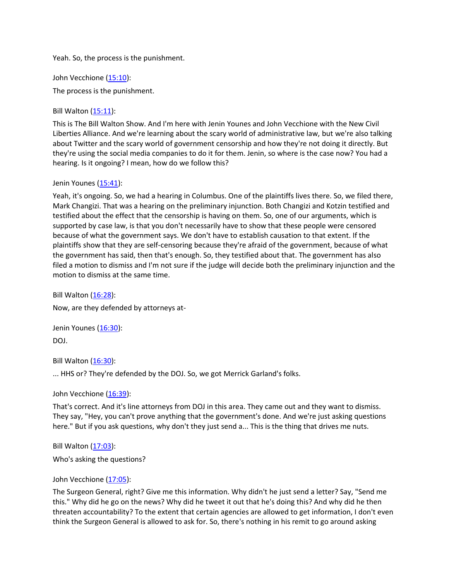Yeah. So, the process is the punishment.

John Vecchione [\(15:10\)](https://www.rev.com/transcript-editor/Edit?token=VMPHT17hiTLe8X6jRTngA5w5ltO5IglV--G5iV1EzqkqMNMmwJWPqaQ3ZVjTNIDmCc8FtNPdUIpQtVHZ6Z8c_bayGtI&loadFrom=DocumentDeeplink&ts=910.86):

The process is the punishment.

Bill Walton [\(15:11\)](https://www.rev.com/transcript-editor/Edit?token=YXdSwTQZglc1Rm7A7ev0PIkcZTuki35loCmprQvjUMo-wPHDBwinO9HpNdFP0-IFOPRhSQfdIVqhnhyOi04SpXH37pQ&loadFrom=DocumentDeeplink&ts=911.9):

This is The Bill Walton Show. And I'm here with Jenin Younes and John Vecchione with the New Civil Liberties Alliance. And we're learning about the scary world of administrative law, but we're also talking about Twitter and the scary world of government censorship and how they're not doing it directly. But they're using the social media companies to do it for them. Jenin, so where is the case now? You had a hearing. Is it ongoing? I mean, how do we follow this?

Jenin Younes [\(15:41\)](https://www.rev.com/transcript-editor/Edit?token=fbSwCg3nx_vqJCZ55FRVoHLtKES1C6EcYF0WppCA9hKOMZRq3aJFxGXklGtf35EHzmdCmk1mw_8mzh7LtQtpgETlG7o&loadFrom=DocumentDeeplink&ts=941.78):

Yeah, it's ongoing. So, we had a hearing in Columbus. One of the plaintiffs lives there. So, we filed there, Mark Changizi. That was a hearing on the preliminary injunction. Both Changizi and Kotzin testified and testified about the effect that the censorship is having on them. So, one of our arguments, which is supported by case law, is that you don't necessarily have to show that these people were censored because of what the government says. We don't have to establish causation to that extent. If the plaintiffs show that they are self-censoring because they're afraid of the government, because of what the government has said, then that's enough. So, they testified about that. The government has also filed a motion to dismiss and I'm not sure if the judge will decide both the preliminary injunction and the motion to dismiss at the same time.

Bill Walton [\(16:28\)](https://www.rev.com/transcript-editor/Edit?token=101V5vDeS-BZ3u7sv2HM9npLmxZjgy2Lwz7-o2e0bxWaCgCnDpauCoso3Ve2j4CEEBp-KRYxklLKGuqbSea7RAZT1Xs&loadFrom=DocumentDeeplink&ts=988.97): Now, are they defended by attorneys at-

Jenin Younes [\(16:30\)](https://www.rev.com/transcript-editor/Edit?token=DEc9dUu4B5Un5K4xf4JvRG3KyAIkpeGCa_Yzv-orYWZOdkMgSJvIvoGzLeWTSDaX7gHJDKfhT-dUqc-C7rjhBZeGR9g&loadFrom=DocumentDeeplink&ts=990.84): DOJ.

Bill Walton [\(16:30\)](https://www.rev.com/transcript-editor/Edit?token=oPgDbNvoMCL4yhIRxbuNz7IMISRUWVGBmhWgwJy1hSHnfFKQygONSMJJAtOi6N0J3pnz2MnPzHeNoD1P1tlAOkcmhBM&loadFrom=DocumentDeeplink&ts=990.88): ... HHS or? They're defended by the DOJ. So, we got Merrick Garland's folks.

John Vecchione [\(16:39\)](https://www.rev.com/transcript-editor/Edit?token=PmjQa3xmmXG3_vSqImCdmt4FSR5CH5qXTJfSxlRMIw_UisiCEMZLHXxqzky7oATBodgFTc1r-jd7yO6BYol6JyNdb1A&loadFrom=DocumentDeeplink&ts=999):

That's correct. And it's line attorneys from DOJ in this area. They came out and they want to dismiss. They say, "Hey, you can't prove anything that the government's done. And we're just asking questions here." But if you ask questions, why don't they just send a... This is the thing that drives me nuts.

Bill Walton [\(17:03\)](https://www.rev.com/transcript-editor/Edit?token=nd0J-KZXCj1rUKli-T8-lnONfoODoeZaHKzX7YDsA3fbpiYmjkVP6SkyvlMAPyR4wkZAnu3SQZK-l8PgPhw5R9wm0Pw&loadFrom=DocumentDeeplink&ts=1023.63):

Who's asking the questions?

```
(17:05):
```
The Surgeon General, right? Give me this information. Why didn't he just send a letter? Say, "Send me this." Why did he go on the news? Why did he tweet it out that he's doing this? And why did he then threaten accountability? To the extent that certain agencies are allowed to get information, I don't even think the Surgeon General is allowed to ask for. So, there's nothing in his remit to go around asking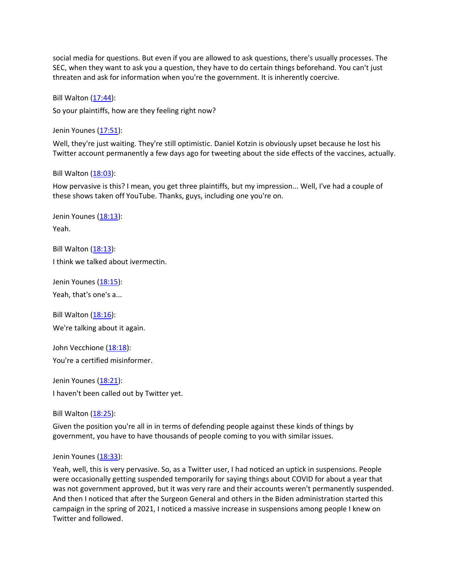social media for questions. But even if you are allowed to ask questions, there's usually processes. The SEC, when they want to ask you a question, they have to do certain things beforehand. You can't just threaten and ask for information when you're the government. It is inherently coercive.

Bill Walton [\(17:44\)](https://www.rev.com/transcript-editor/Edit?token=i2rfOlP4U3yfJfFet8Q8McLKtNlStlwcgoiAtgxoRhzolOwl4mtkoWXVcdtStoJ5Y9mLTEXa7Ya9ORkw-9EXW5tFsfo&loadFrom=DocumentDeeplink&ts=1064.71):

So your plaintiffs, how are they feeling right now?

Jenin Younes [\(17:51\)](https://www.rev.com/transcript-editor/Edit?token=aCrKd6k7gfbTRExajxxNZK3pq_vefJYNj4EP68HvRKMSVtKqa0u7YXsnUTpNtf2Ir2JBbA9BAe74C6F-Ucv6iolwSNw&loadFrom=DocumentDeeplink&ts=1071.28):

Well, they're just waiting. They're still optimistic. Daniel Kotzin is obviously upset because he lost his Twitter account permanently a few days ago for tweeting about the side effects of the vaccines, actually.

Bill Walton  $(18:03)$ :

How pervasive is this? I mean, you get three plaintiffs, but my impression... Well, I've had a couple of these shows taken off YouTube. Thanks, guys, including one you're on.

Jenin Younes [\(18:13\)](https://www.rev.com/transcript-editor/Edit?token=154Ms1E3-ar4LVh-4DJqTXWve3UmSWxkG4e1jabizUd6qlhndNCTJFpG-yGm_qrMuDKSTWcESXAve7FbDay683UE1uk&loadFrom=DocumentDeeplink&ts=1093.37): Yeah.

Bill Walton [\(18:13\)](https://www.rev.com/transcript-editor/Edit?token=NTR02Mo_DncVgi195KxcCDhirUiHiJLBpGsp_RME4UA2AcZvzgWoYkfMLKU3s_yuR4nEnqkNfEL_oxSmINDymbZWmbE&loadFrom=DocumentDeeplink&ts=1093.79): I think we talked about ivermectin.

Jenin Younes [\(18:15\)](https://www.rev.com/transcript-editor/Edit?token=nF8h9pp1kzFSsSfM6WuQlNAPRiHkZKvx0wM47f_JVFBbxpz3PoqwxEmlSHGW3ZmxJOiNTnXiQw_EgbFImmvuL4wUYWo&loadFrom=DocumentDeeplink&ts=1095.18): Yeah, that's one's a...

Bill Walton [\(18:16\)](https://www.rev.com/transcript-editor/Edit?token=JIRjUvj0WPeszZvA2A-k0emqgeqXwT69zbhCXVj0iYHJlukbsmDwg_ixlAaQkfu0TDcM8Hor2hNzrNqSnBWaokolxrE&loadFrom=DocumentDeeplink&ts=1096.5): We're talking about it again.

John Vecchione [\(18:18\)](https://www.rev.com/transcript-editor/Edit?token=BtQb7GNpZuAZM2QbvGqQ4pa03PqezCZNofIPC8IEsEVUYSY0QjnjI31kL2eEM-gsNuhQYyN4Sfyin4p94CPdCIv6at4&loadFrom=DocumentDeeplink&ts=1098.61): You're a certified misinformer.

Jenin Younes [\(18:21\)](https://www.rev.com/transcript-editor/Edit?token=FUM5EoXJRR6yjvp8MIDC1eENGbSo_gMtckTekTkrc7I6MNJwU108K8Z80RNhUGwnk-3JrOlV4jW6O4Kh6M3x68OPSh8&loadFrom=DocumentDeeplink&ts=1101.93): I haven't been called out by Twitter yet.

Bill Walton [\(18:25\)](https://www.rev.com/transcript-editor/Edit?token=_8lpFZck8MhYVB7uIdq1QQrWo9rCGOl6Wa8wvQZwI3AjGaygYMSSAYLCKYd1pC2jZyHC0ElhIsgD8Ih5G7-npstSWeA&loadFrom=DocumentDeeplink&ts=1105.19):

Given the position you're all in in terms of defending people against these kinds of things by government, you have to have thousands of people coming to you with similar issues.

#### Jenin Younes [\(18:33\)](https://www.rev.com/transcript-editor/Edit?token=4gxLA_jhCQLqJeRF_MtdRBrDeLlS-scKWluT65hT-xMNCgl2hsuDOnrIk4UVsyUMugxhfAN9rVYzGdxFjqpw9eWiecc&loadFrom=DocumentDeeplink&ts=1113.42):

Yeah, well, this is very pervasive. So, as a Twitter user, I had noticed an uptick in suspensions. People were occasionally getting suspended temporarily for saying things about COVID for about a year that was not government approved, but it was very rare and their accounts weren't permanently suspended. And then I noticed that after the Surgeon General and others in the Biden administration started this campaign in the spring of 2021, I noticed a massive increase in suspensions among people I knew on Twitter and followed.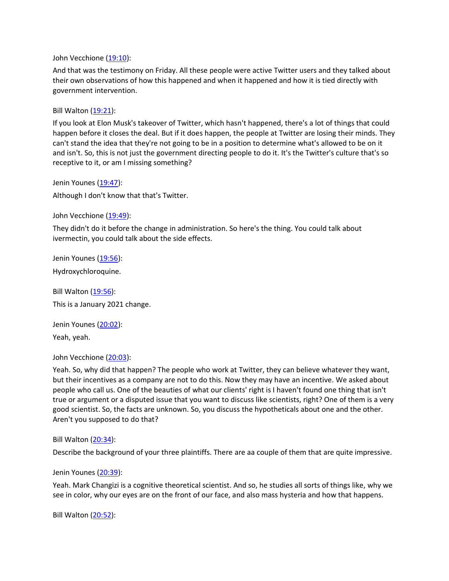John Vecchione [\(19:10\)](https://www.rev.com/transcript-editor/Edit?token=OGzVX_8zAVqGkzQtHZoFkR4zA6XOvawe1Fgz8nxsGN8j4mQ69hyKUKOJ0Se89vzUsmA0hhv5caTMFgWHV2prIPaJ-ZY&loadFrom=DocumentDeeplink&ts=1150.91):

And that was the testimony on Friday. All these people were active Twitter users and they talked about their own observations of how this happened and when it happened and how it is tied directly with government intervention.

Bill Walton  $(19:21)$ :

If you look at Elon Musk's takeover of Twitter, which hasn't happened, there's a lot of things that could happen before it closes the deal. But if it does happen, the people at Twitter are losing their minds. They can't stand the idea that they're not going to be in a position to determine what's allowed to be on it and isn't. So, this is not just the government directing people to do it. It's the Twitter's culture that's so receptive to it, or am I missing something?

Jenin Younes [\(19:47\)](https://www.rev.com/transcript-editor/Edit?token=Y4eltcz7MbjbtgooYbMn4bFi81BWqwPrBpTVNSOZ7Vx3Se6520qKxBvtg0UOWLiLb7B4o0B8WZ3rAzUpRrmoWY3F6dQ&loadFrom=DocumentDeeplink&ts=1187.89): Although I don't know that that's Twitter.

John Vecchione [\(19:49\)](https://www.rev.com/transcript-editor/Edit?token=SyfUVz8uwie6edbOtwi4fIRWdtB7i0Ak_BCLmageYviCmZ1MBVgaMQEsl4zFN8N4K7Bap4aTaBrfUXXO0swZFBAs8Ic&loadFrom=DocumentDeeplink&ts=1189.46):

They didn't do it before the change in administration. So here's the thing. You could talk about ivermectin, you could talk about the side effects.

Jenin Younes [\(19:56\)](https://www.rev.com/transcript-editor/Edit?token=qYzN3uiPt0yszjOjgHE3dlOHIc08-fz_5RTGSvZemCKscNjcDneVJRUgXACrgsQj-hxKu2U3NJNsPkURevitb3yUru8&loadFrom=DocumentDeeplink&ts=1196.6):

Hydroxychloroquine.

Bill Walton [\(19:56\)](https://www.rev.com/transcript-editor/Edit?token=zQA0Ln53J2rGY017Uzovw_3OqSZ2eV7Fymev5NBu-jhr_1WZtqSa7tHBBQkg6FGMeGfJSYbG6LB2uec-9AVb2kT_0W0&loadFrom=DocumentDeeplink&ts=1196.6): This is a January 2021 change.

Jenin Younes [\(20:02\)](https://www.rev.com/transcript-editor/Edit?token=UR2TFWnOuTLzLtRoyOInvTqz_C7ad0hSxVU-k_xpuBn98noKzeFAAy9x1rKFzMXIEwFtsGOOjro74BkuetYbcZklBMU&loadFrom=DocumentDeeplink&ts=1202.17): Yeah, yeah.

John Vecchione [\(20:03\)](https://www.rev.com/transcript-editor/Edit?token=CVYo2DpidQG2ZvHFZWj9zNLD3_yfEJbjeCgWNEgQ-7JLHhVWAn2qTbD_MBuyd_M7h6uDRA66L678ia0uuoYX00EzWsg&loadFrom=DocumentDeeplink&ts=1203.53):

Yeah. So, why did that happen? The people who work at Twitter, they can believe whatever they want, but their incentives as a company are not to do this. Now they may have an incentive. We asked about people who call us. One of the beauties of what our clients' right is I haven't found one thing that isn't true or argument or a disputed issue that you want to discuss like scientists, right? One of them is a very good scientist. So, the facts are unknown. So, you discuss the hypotheticals about one and the other. Aren't you supposed to do that?

Bill Walton [\(20:34\)](https://www.rev.com/transcript-editor/Edit?token=-NU3Mc1d2mPmMjdjZKIIozt4MMb6WN4AcMm_1XNkBcf8UIc1IY50E0W0kYhWpteEymuQ4qPI2-Xi54LofVfAoKwnJ5s&loadFrom=DocumentDeeplink&ts=1234.03):

Describe the background of your three plaintiffs. There are aa couple of them that are quite impressive.

Jenin Younes [\(20:39\)](https://www.rev.com/transcript-editor/Edit?token=iHs1pimZ1SR4e1oDfxNvfQOHLRLQpVcNO9DBalKx4-sn9a_e4shKzRyu9jrb-AZk3qzoFJJRD6xGMNN8ftrPoKxNmSE&loadFrom=DocumentDeeplink&ts=1239.17):

Yeah. Mark Changizi is a cognitive theoretical scientist. And so, he studies all sorts of things like, why we see in color, why our eyes are on the front of our face, and also mass hysteria and how that happens.

Bill Walton [\(20:52\)](https://www.rev.com/transcript-editor/Edit?token=9kJU0y9Ph6Wp4wXkH2ZmC7L83tgUQP1LIrAU1dobTzV_d0Ro6sP8RFBt0q_IjDG-hqfY4WjpQe6z4p251nAgmTe3_-o&loadFrom=DocumentDeeplink&ts=1252.57):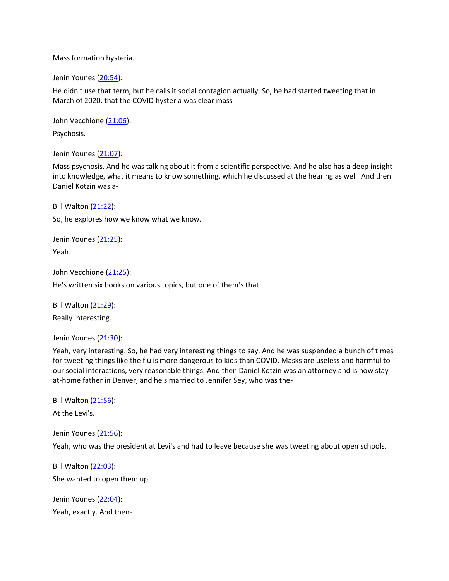Mass formation hysteria.

Jenin Younes [\(20:54\)](https://www.rev.com/transcript-editor/Edit?token=STykJcTFtbfc2DKomSO5QzV1qCRLVxJDAv_fELK8meMKmcOAh0XfnNq5XLAYHMUSnxqBvpERa64YCLr7wPh_kAUNjUU&loadFrom=DocumentDeeplink&ts=1254.17):

He didn't use that term, but he calls it social contagion actually. So, he had started tweeting that in March of 2020, that the COVID hysteria was clear mass-

John Vecchione [\(21:06\)](https://www.rev.com/transcript-editor/Edit?token=ZMxLMrDcUMO6zzni-sFglzFjG15ph-29w_T8dhniRqXZao0SNQ1kVo-wI-_AOYeh-Zal4yI-zFwEI4pRIMWq2V4aB00&loadFrom=DocumentDeeplink&ts=1266.45): Psychosis.

Jenin Younes [\(21:07\)](https://www.rev.com/transcript-editor/Edit?token=qT2TaRCm0rOYYH6S8g198rB5zMUOmN3hLxQ2Ao5UvqjuyWxZDNW1MIEAS_sUZ8uoHM3Hdcyx8rQOarqkCISZs-arDuA&loadFrom=DocumentDeeplink&ts=1267.21):

Mass psychosis. And he was talking about it from a scientific perspective. And he also has a deep insight into knowledge, what it means to know something, which he discussed at the hearing as well. And then Daniel Kotzin was a-

Bill Walton [\(21:22\)](https://www.rev.com/transcript-editor/Edit?token=9Hj4xCU8kZCgpRzoBe-LN6NgHfGdUNMMDm5_wk3t9mZXpeeBYMIjsl_CZAKwLyQApCyEKlcMjQdpdOeNB3um796SFX0&loadFrom=DocumentDeeplink&ts=1282.68):

So, he explores how we know what we know.

Jenin Younes [\(21:25\)](https://www.rev.com/transcript-editor/Edit?token=GMhXA58RghDAIy81zQ0rmHUIK99vXTSwwBxaprL1M1RMWI7Dd_cDSb0cnrFHGhZrh7yZiSeACC5ZivawuhiWwctaq_E&loadFrom=DocumentDeeplink&ts=1285.04):

Yeah.

John Vecchione [\(21:25\)](https://www.rev.com/transcript-editor/Edit?token=OVNwWc10MLQV8bFnj6LQUlql7oVyhTvyBciwh5LexIOsFk5s7ZhWpk7Zcpou2nxmMzNEiQznxHZu_zZrBLU50Xg0j48&loadFrom=DocumentDeeplink&ts=1285.51): He's written six books on various topics, but one of them's that.

Bill Walton [\(21:29\)](https://www.rev.com/transcript-editor/Edit?token=7LBfR3-ourmHbzAKX1C3nn-gBQowciKnGvnIHrtThLaYr-Eu7cYS2nag7JRaCp-rSCjPozfwAdgPdpS4c8_-AdJKnro&loadFrom=DocumentDeeplink&ts=1289.46):

Really interesting.

Jenin Younes [\(21:30\)](https://www.rev.com/transcript-editor/Edit?token=o-KjBnUueM0OXaUc76twmhEz-6ZJZw9-nzSAZD4SWk4O9-FKvAUqLyPHkOYL-sjaK1vv7YsvN8-5ds5kror7_rS69eQ&loadFrom=DocumentDeeplink&ts=1290.19):

Yeah, very interesting. So, he had very interesting things to say. And he was suspended a bunch of times for tweeting things like the flu is more dangerous to kids than COVID. Masks are useless and harmful to our social interactions, very reasonable things. And then Daniel Kotzin was an attorney and is now stayat-home father in Denver, and he's married to Jennifer Sey, who was the-

Bill Walton [\(21:56\)](https://www.rev.com/transcript-editor/Edit?token=ls20kSIjP4P3aKzTRd9eIH31huQir0AY4_CYMHADpxSgtpN4Q5hcc6xyVNosx9fVxIHklJlQ-JmfUvnAIfR-zTajJfg&loadFrom=DocumentDeeplink&ts=1316.31):

At the Levi's.

Jenin Younes [\(21:56\)](https://www.rev.com/transcript-editor/Edit?token=gdszWbrRrYf6r5LJMsDwJ2UfukpAomhHf8AZwZA68VLffihMwCe-J2RLgM4KlG78KMeww-0mDHWHCk7tRhQU3TcZghg&loadFrom=DocumentDeeplink&ts=1316.7):

Yeah, who was the president at Levi's and had to leave because she was tweeting about open schools.

Bill Walton [\(22:03\)](https://www.rev.com/transcript-editor/Edit?token=9bDfnn9DHjgjqjss4vYyG2wxxjA2Ga2jFH1iaf7wsNDEDtx9NbBVIHn203O7_0bVp4pWM_7EsFa8e7gtmpmZzDhstrs&loadFrom=DocumentDeeplink&ts=1323.67): She wanted to open them up.

Jenin Younes [\(22:04\)](https://www.rev.com/transcript-editor/Edit?token=M7oX-sXeJzDo3a6-WNMdfQBqlhmeclVlP32xTSZ8X0G2-EPn1E7OA3jZDFxtXuRpwgkY73kfL_4RivPU-6J3hlXfQEM&loadFrom=DocumentDeeplink&ts=1324.59): Yeah, exactly. And then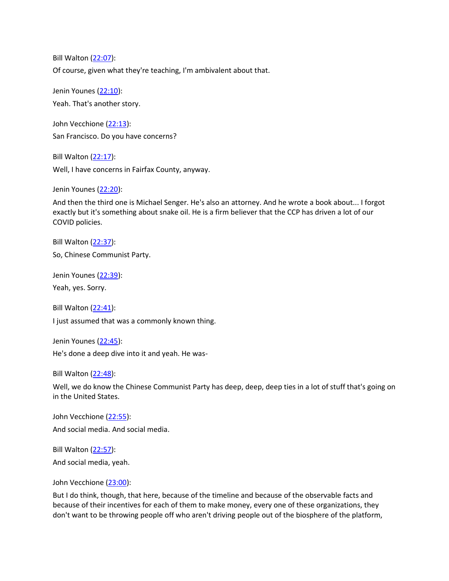Bill Walton [\(22:07\)](https://www.rev.com/transcript-editor/Edit?token=OJgR1KiPBXwZSUtX2N4uDrus-y95fXdyMJnU-KcI3Z30u1MB6G8cpNwx6sKtdWI5Dwa1tYTwuj_CSVgINuMLIICe-hk&loadFrom=DocumentDeeplink&ts=1327.62): Of course, given what they're teaching, I'm ambivalent about that.

Jenin Younes [\(22:10\)](https://www.rev.com/transcript-editor/Edit?token=G0CJpUWuDtLH7biV2XyiH73MCHgfNDenM6ZP0G8K8oZFunbjnzH0zHVTXLVwlg6hDfGPvRZB7BGR3ht2zKGAHnqQ4HE&loadFrom=DocumentDeeplink&ts=1330.56): Yeah. That's another story.

John Vecchione [\(22:13\)](https://www.rev.com/transcript-editor/Edit?token=mVL1c60_tRafzOcTG7ufIhEZ1ZrMR82-vpcjoqtiWJyF63IdfUl69ddS8xJst6S_UtEXXTI8f4Foq_x5c0dePwyhBIc&loadFrom=DocumentDeeplink&ts=1333.16): San Francisco. Do you have concerns?

Bill Walton [\(22:17\)](https://www.rev.com/transcript-editor/Edit?token=QK7omvqO5sapTOUBhrBXM25XemCbF-wm4hpkE8S7eN1SPL9Fn98eK-y8SbvlpeL2foEZdHXQxW31H_jlQN7uUGvU7pQ&loadFrom=DocumentDeeplink&ts=1337.24): Well, I have concerns in Fairfax County, anyway.

Jenin Younes [\(22:20\)](https://www.rev.com/transcript-editor/Edit?token=V5bGu_E3I6bigJmkOKluDEmIZeKMqmIwPSOoEma7Upu8XRNV9s3PyGkD81-DupyRmRWADXlE4qTHq-3f146Lm7hh8S0&loadFrom=DocumentDeeplink&ts=1340.92):

And then the third one is Michael Senger. He's also an attorney. And he wrote a book about... I forgot exactly but it's something about snake oil. He is a firm believer that the CCP has driven a lot of our COVID policies.

Bill Walton [\(22:37\)](https://www.rev.com/transcript-editor/Edit?token=Sfo2RQc9yBBUzUzH3hHPpKKKY6hrDzp3AMyXT4f99lD3rff7Z73ikpQL9U5l_AYojzhN_Ujfa2SOTDJu4QtccxEDkXU&loadFrom=DocumentDeeplink&ts=1357.6): So, Chinese Communist Party.

Jenin Younes [\(22:39\)](https://www.rev.com/transcript-editor/Edit?token=xX0n0l7jVxc9SCchw4Jq1tvnEKL86Flc3Z7bQQnoi2fX5dBfqWCv1Q-YMX7LDZSYlGKP_JSIUwHlBopCRfcZEj8EnKE&loadFrom=DocumentDeeplink&ts=1359.47):

Yeah, yes. Sorry.

Bill Walton [\(22:41\)](https://www.rev.com/transcript-editor/Edit?token=7NfQUhbGh8S87sM6SroY9xlDO9ftBliF-FZsfbjv3vs6MzWXUQZlv85u3y2NhRFII8zLyMMgOmhDFu1QOIId060VsvQ&loadFrom=DocumentDeeplink&ts=1361.72): I just assumed that was a commonly known thing.

Jenin Younes [\(22:45\)](https://www.rev.com/transcript-editor/Edit?token=w52JncOAJm8_hgHqO5RxtsLyOz5jvOYj4b04ezkILF29GaDjZ6p6LCAR4WsxoZO6Qcpba8A7LiD00wu-qxj56RabWXc&loadFrom=DocumentDeeplink&ts=1365.16): He's done a deep dive into it and yeah. He was-

Bill Walton [\(22:48\)](https://www.rev.com/transcript-editor/Edit?token=ENtFC8sWf81CyA4Wu_34EdSHUmH_uZVsqSU2EB6wpAsUSN_XOsAZ1w0hpDokjjOxw6QKZ6jCyOTaUh2g8LUw8q8UPX4&loadFrom=DocumentDeeplink&ts=1368.81):

Well, we do know the Chinese Communist Party has deep, deep, deep ties in a lot of stuff that's going on in the United States.

John Vecchione [\(22:55\)](https://www.rev.com/transcript-editor/Edit?token=y0fvxR2z_g-q3btRqlVkHOOIhYv7fEQbeKwQNeXyLEU8XWB2ph9MuVbfzJqEQ5llXHCipN02GhBxQ8ddgl77j5l8BHU&loadFrom=DocumentDeeplink&ts=1375.26): And social media. And social media.

Bill Walton [\(22:57\)](https://www.rev.com/transcript-editor/Edit?token=fqbA9VtUx57ZC8cuvtjYkiBk6JRjOEKOZimy5yDZWR8xKFCtF5qJ4byAzreHAvMRg5HVc06OU3BIdt90t10zdD_pbMs&loadFrom=DocumentDeeplink&ts=1377.35): And social media, yeah.

John Vecchione [\(23:00\)](https://www.rev.com/transcript-editor/Edit?token=KWLD6LN6CtuhjXESkYiVaTm0z9VzPHnzBs17uhSsWfm8tez3CISL8GF63QOw-ndDZIpxh3sxOsDhbQYTr_MCdRHZgl0&loadFrom=DocumentDeeplink&ts=1380.18):

But I do think, though, that here, because of the timeline and because of the observable facts and because of their incentives for each of them to make money, every one of these organizations, they don't want to be throwing people off who aren't driving people out of the biosphere of the platform,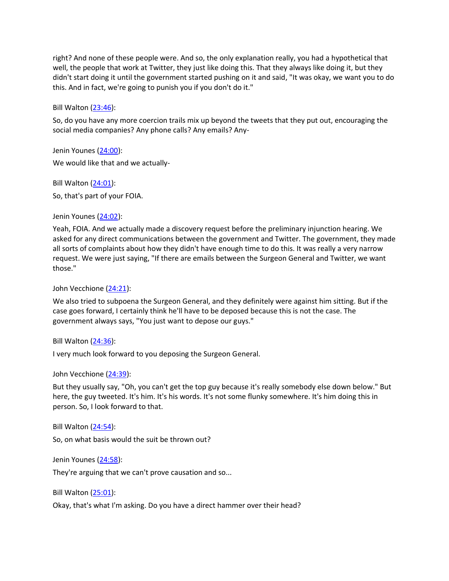right? And none of these people were. And so, the only explanation really, you had a hypothetical that well, the people that work at Twitter, they just like doing this. That they always like doing it, but they didn't start doing it until the government started pushing on it and said, "It was okay, we want you to do this. And in fact, we're going to punish you if you don't do it."

Bill Walton [\(23:46\)](https://www.rev.com/transcript-editor/Edit?token=KgZq-0BF8wTylT0cicxEWwqC1Ulo4xK_OTAfSE7C3Pt7lJ_6UbVhThEj3qyhWEOuNjnr6tRUbSKWakrS62ymsiT5IOc&loadFrom=DocumentDeeplink&ts=1426.22):

So, do you have any more coercion trails mix up beyond the tweets that they put out, encouraging the social media companies? Any phone calls? Any emails? Any-

Jenin Younes [\(24:00\)](https://www.rev.com/transcript-editor/Edit?token=bkK5ekkqoekOJTYsqEABcI8AaRKTBuUz0fMnR3TDw6gJrztApTIfJQZLCh5mQO245yP-RWP8z0kgNWXhvK5FVZBHbUA&loadFrom=DocumentDeeplink&ts=1440.12):

We would like that and we actually-

Bill Walton [\(24:01\)](https://www.rev.com/transcript-editor/Edit?token=EZ7gRz1264mwcqjHfAx5uM31WTSIuZsD0d8RUg-7aXN5o_Kb-PsdE7J8Eb5GzbmtkOGZDRxi-pyX2ovpYraRHK97RDQ&loadFrom=DocumentDeeplink&ts=1441.62): So, that's part of your FOIA.

Jenin Younes [\(24:02\)](https://www.rev.com/transcript-editor/Edit?token=pmRmuZpIqSXquj2jvJj9KBRg11WjBaptmAqPIR96jU0qVbcJCN6paUGECPtpypwcMZAIBxgraPiu9OBPTECSE-H4of0&loadFrom=DocumentDeeplink&ts=1442.48):

Yeah, FOIA. And we actually made a discovery request before the preliminary injunction hearing. We asked for any direct communications between the government and Twitter. The government, they made all sorts of complaints about how they didn't have enough time to do this. It was really a very narrow request. We were just saying, "If there are emails between the Surgeon General and Twitter, we want those."

John Vecchione [\(24:21\)](https://www.rev.com/transcript-editor/Edit?token=oI0Ghf7xQjmtKNd3yxZ6Q3vEMTtnXNA8ANEBFnNjtM9w2mxN9zkxEq89y--32zfPiJjZP4n4cqKD7dcqbevGYjXHovE&loadFrom=DocumentDeeplink&ts=1461.31):

We also tried to subpoena the Surgeon General, and they definitely were against him sitting. But if the case goes forward, I certainly think he'll have to be deposed because this is not the case. The government always says, "You just want to depose our guys."

Bill Walton [\(24:36\)](https://www.rev.com/transcript-editor/Edit?token=C6af83NrhOBsoQEBpwFHrwrU17_d_8OsfkPzm6pYUxPEAKKvm5M-fh_-_qiotX1paRynGojqeW5VSzR3SaHptAygK0E&loadFrom=DocumentDeeplink&ts=1476.31):

I very much look forward to you deposing the Surgeon General.

John Vecchione [\(24:39\)](https://www.rev.com/transcript-editor/Edit?token=Oohg3I8oAIn668addlimd95XQh6nVKTrxu0gEG1NlZiaKXXfFoznW3r6Zr1xYCzYXxVV6zWb5UaeaRCIvgvcBDtyU74&loadFrom=DocumentDeeplink&ts=1479.84):

But they usually say, "Oh, you can't get the top guy because it's really somebody else down below." But here, the guy tweeted. It's him. It's his words. It's not some flunky somewhere. It's him doing this in person. So, I look forward to that.

Bill Walton [\(24:54\)](https://www.rev.com/transcript-editor/Edit?token=L1DK2CUE1RL4qVXBLujKi_s9vG3EmMf2e5AZTRLs-eLgnnGKTneWOBUR-O8lcuSfZZg3p0gxF8P4C-lqQDXdY7mIqQc&loadFrom=DocumentDeeplink&ts=1494.03):

So, on what basis would the suit be thrown out?

Jenin Younes [\(24:58\)](https://www.rev.com/transcript-editor/Edit?token=9dFgdGSACiFZFD6bgcxiXc5rOT8sgXjaCX8kLpWLsK7UPxHVDLHQUbOtXEWnMw8TL8Vhscw7zrhuC6V788JQuqxkcKA&loadFrom=DocumentDeeplink&ts=1498.72):

They're arguing that we can't prove causation and so...

Bill Walton [\(25:01\)](https://www.rev.com/transcript-editor/Edit?token=ePgJb6VaQBtcXjWM8yvCQIn_dl6s8FtVLc-AR1aw4LX060vHLhG65UopvrzxiEY8t2j0c220BchatylftSf6F-WtDmA&loadFrom=DocumentDeeplink&ts=1501.78):

Okay, that's what I'm asking. Do you have a direct hammer over their head?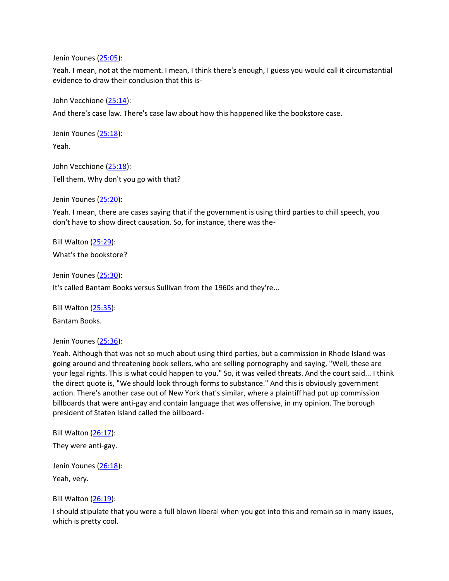Jenin Younes [\(25:05\)](https://www.rev.com/transcript-editor/Edit?token=14pD6qexFKw74jyuv4BY_s9ranIVhaHqayTMoWuXCXRjNMRG188Bf8ZVwR9nSCDc3IdHNmqzJK69tMUDfzSSVqPJ5zc&loadFrom=DocumentDeeplink&ts=1505.93):

Yeah. I mean, not at the moment. I mean, I think there's enough, I guess you would call it circumstantial evidence to draw their conclusion that this is-

John Vecchione [\(25:14\)](https://www.rev.com/transcript-editor/Edit?token=z4xOBXbH_nlyzznSdM0KOzojB2JB4QGYYYBycbvlz525via-ecEBbaWZ8qjdqbnrcu51rIH898NO8J73nUrZSa2-ONI&loadFrom=DocumentDeeplink&ts=1514.01):

And there's case law. There's case law about how this happened like the bookstore case.

Jenin Younes [\(25:18\)](https://www.rev.com/transcript-editor/Edit?token=4ZZA9e-aRdA1zGExQA11_LDsJ9seDZS1ZiQfvBxxalJXPaOHOve0SUU2A5EO5Hx3Cp4yQhTskQLiIUxN8AqotlLssiM&loadFrom=DocumentDeeplink&ts=1518.31): Yeah.

John Vecchione [\(25:18\)](https://www.rev.com/transcript-editor/Edit?token=SbUi_zeHOJ1HA7SUryo5bKEKTK-PtSeGk_pBXklTEGLXdjx6Isoxz4IU9wkU6iPOOLlrF4KWra7dXmg5mRt8EXfC4CE&loadFrom=DocumentDeeplink&ts=1518.89): Tell them. Why don't you go with that?

Jenin Younes [\(25:20\)](https://www.rev.com/transcript-editor/Edit?token=TDGFn1T9GIi81Dda03vjTaO9fEfGqmC7z9lAH2K93l-QJkgsoHISEjK8uK3TAmq40HMseckQEEzaHLIRuVj4FCb9p8M&loadFrom=DocumentDeeplink&ts=1520.51):

Yeah. I mean, there are cases saying that if the government is using third parties to chill speech, you don't have to show direct causation. So, for instance, there was the-

Bill Walton [\(25:29\)](https://www.rev.com/transcript-editor/Edit?token=i9gBkGhrtd46hhZfAOHDa9g9B5XO7reElZIHCRbePGW_k8B0B63mDA953gnzHVyuwxUvfWYJ_E-A-Ac86-SOIKXJer4&loadFrom=DocumentDeeplink&ts=1529.39): What's the bookstore?

Jenin Younes [\(25:30\)](https://www.rev.com/transcript-editor/Edit?token=oagtqxtg3UxGXlMFI_vNzeoW7TPnNAlx1GM9mVis8U8ObcbB7_7mtM-lMM2-cCVFYUXG0c-IPCdLnl_f5gOsbMDEBv8&loadFrom=DocumentDeeplink&ts=1530.65):

It's called Bantam Books versus Sullivan from the 1960s and they're...

Bill Walton [\(25:35\)](https://www.rev.com/transcript-editor/Edit?token=v_nEZkL7lur4Z61oEBr-MiXMZPQ99ENGG5WXw5O-HUcDrDvPWDv0QP2G78rGSKXBJJ4hy0xZykkqL9cwVO_FnT-YPHU&loadFrom=DocumentDeeplink&ts=1535.68):

Bantam Books.

Jenin Younes [\(25:36\)](https://www.rev.com/transcript-editor/Edit?token=2b0WQ7XuePjQok-Sa_iU3QYrYUYP2wd0I_-G_RjNrQjiEh2YgOn716Bw49MjYqK7LR5pqn3qCffCmx7iHFd2VJqa5Dw&loadFrom=DocumentDeeplink&ts=1536.43):

Yeah. Although that was not so much about using third parties, but a commission in Rhode Island was going around and threatening book sellers, who are selling pornography and saying, "Well, these are your legal rights. This is what could happen to you." So, it was veiled threats. And the court said... I think the direct quote is, "We should look through forms to substance." And this is obviously government action. There's another case out of New York that's similar, where a plaintiff had put up commission billboards that were anti-gay and contain language that was offensive, in my opinion. The borough president of Staten Island called the billboard-

Bill Walton [\(26:17\)](https://www.rev.com/transcript-editor/Edit?token=MuFV7mI27M3biho7rK6OUlFXeauecd4K1ra8wiXIxKWJu343d56kXX-1EUhj-pYdb4Pory9KXGZbnmFFd1gvLhZY0wY&loadFrom=DocumentDeeplink&ts=1577.4): They were anti-gay.

Jenin Younes [\(26:18\)](https://www.rev.com/transcript-editor/Edit?token=WIovyINKyDnNFjN8KITtRC4N7J1OMN4g4hbFpEj9WnIWuU9kaEBWOwEbWK5AiBKTAXdhMDntSMq9M6UgDkZvHQ1JsPQ&loadFrom=DocumentDeeplink&ts=1578.26):

Yeah, very.

Bill Walton [\(26:19\)](https://www.rev.com/transcript-editor/Edit?token=qE__VNKRSL7NnJEWkWBlXfQilh8ZM6ErbXVaS-AlyuBGBeSVYBQipPxao7Gr-NsAVk9eQ0GnP37IUbsAERecU7JMjj0&loadFrom=DocumentDeeplink&ts=1579.27):

I should stipulate that you were a full blown liberal when you got into this and remain so in many issues, which is pretty cool.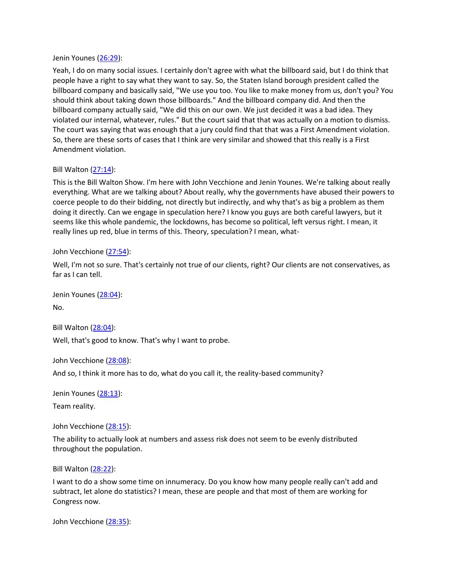#### Jenin Younes [\(26:29\)](https://www.rev.com/transcript-editor/Edit?token=_ZCxZ8ZQGS3btKxKGHMhPjwhFUDw9pzP0BIhdAQ9xyvQN8ARlNOV0svZlega6FJxOy3Aw_FUVdqzXdxRVmN8CQ1k6Yc&loadFrom=DocumentDeeplink&ts=1589):

Yeah, I do on many social issues. I certainly don't agree with what the billboard said, but I do think that people have a right to say what they want to say. So, the Staten Island borough president called the billboard company and basically said, "We use you too. You like to make money from us, don't you? You should think about taking down those billboards." And the billboard company did. And then the billboard company actually said, "We did this on our own. We just decided it was a bad idea. They violated our internal, whatever, rules." But the court said that that was actually on a motion to dismiss. The court was saying that was enough that a jury could find that that was a First Amendment violation. So, there are these sorts of cases that I think are very similar and showed that this really is a First Amendment violation.

### Bill Walton [\(27:14\)](https://www.rev.com/transcript-editor/Edit?token=fmJeHA2sFexcR2tqSm-WEADFOqPjsl483JR0JLi3o5gBrP3vGcN2dvpjSFtfHMLlZX5dKFazdCgkbAHLDHAceuj5ExM&loadFrom=DocumentDeeplink&ts=1634.74):

This is the Bill Walton Show. I'm here with John Vecchione and Jenin Younes. We're talking about really everything. What are we talking about? About really, why the governments have abused their powers to coerce people to do their bidding, not directly but indirectly, and why that's as big a problem as them doing it directly. Can we engage in speculation here? I know you guys are both careful lawyers, but it seems like this whole pandemic, the lockdowns, has become so political, left versus right. I mean, it really lines up red, blue in terms of this. Theory, speculation? I mean, what-

#### John Vecchione [\(27:54\)](https://www.rev.com/transcript-editor/Edit?token=xpK-0Uh8qN_nQIxx-9gFihGrCJaRKps2mlAk6Moh79l6IdV8m-ygvUqBMlz5E5TSwbwvRg48iZ7ctJ6b4N2XL4KpgsQ&loadFrom=DocumentDeeplink&ts=1674.4):

Well, I'm not so sure. That's certainly not true of our clients, right? Our clients are not conservatives, as far as I can tell.

Jenin Younes [\(28:04\)](https://www.rev.com/transcript-editor/Edit?token=FXdr7xyZrVm6ln1f5LiUvLYzgyrrt2vGI_zg_yT-utCQQXU4WHquA6FimtyYtdaXFs3klsI8BbrDGjw7U9ReogxOnO0&loadFrom=DocumentDeeplink&ts=1684.55): No.

Bill Walton [\(28:04\)](https://www.rev.com/transcript-editor/Edit?token=V6tP63OUNNR7WmmpHeTHJSzAUAXIwJ3tQaHt_geNHswKIAdGIjEhDFlAyQoHi0BsWyKTK_aEmZYKjS53wWVVdFobhzw&loadFrom=DocumentDeeplink&ts=1684.6): Well, that's good to know. That's why I want to probe.

John Vecchione [\(28:08\)](https://www.rev.com/transcript-editor/Edit?token=Ud3GW2C6sdIT9DibCCaVeKPemJLYicGgG0wwH-G9PUWj1eosbF559TTsvziRn9JpEVsj-m_6lL6TxxyoWjT2X1CX_aw&loadFrom=DocumentDeeplink&ts=1688.31):

And so, I think it more has to do, what do you call it, the reality-based community?

Jenin Younes [\(28:13\)](https://www.rev.com/transcript-editor/Edit?token=TlkP3zF3k5aeQZBHbCyLpJqeEmbYjLCIDPafutytoLEOr6H8rrhFTZB1M4KFPqHR_06AHobR3IR6_ZuO6slCWBruDbY&loadFrom=DocumentDeeplink&ts=1693.13):

Team reality.

John Vecchione [\(28:15\)](https://www.rev.com/transcript-editor/Edit?token=OwFF9Amhyo3EXSRtB_2sfSdR8yKRjWJkX55xgUe9J5a3dSrNhJKA6Abi3E-CzlWIdO49dVcCACCmY3fA8e3vvczODLY&loadFrom=DocumentDeeplink&ts=1695.2):

The ability to actually look at numbers and assess risk does not seem to be evenly distributed throughout the population.

Bill Walton [\(28:22\)](https://www.rev.com/transcript-editor/Edit?token=RUUps9ap0xP0sfQ0gjh2CBLkPrxrEdVMkEeuGZAPrHgX7H8tCvZ0dK6hO0tEL7aRpzrL6gLH6PG6yk4EvTFjZqWX4PU&loadFrom=DocumentDeeplink&ts=1702.34):

I want to do a show some time on innumeracy. Do you know how many people really can't add and subtract, let alone do statistics? I mean, these are people and that most of them are working for Congress now.

John Vecchione [\(28:35\)](https://www.rev.com/transcript-editor/Edit?token=dycQMflLg65eu4qGGhycKpFMurc3Bnhrl2TUgfUxo5ZzQJfTrzUDc4ZPZzpD25DSZoIfsZUzPRfWV_jE2yM9i6GqETY&loadFrom=DocumentDeeplink&ts=1715.95):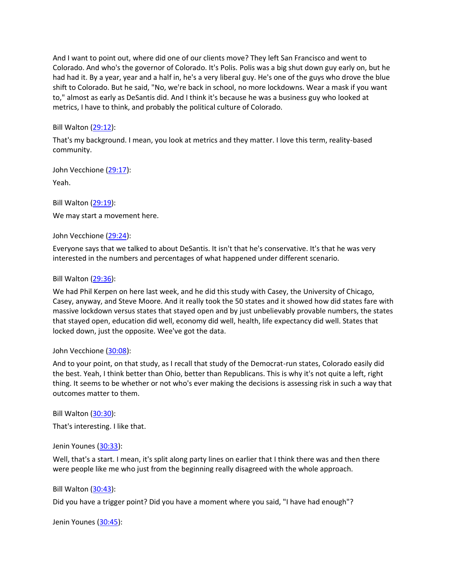And I want to point out, where did one of our clients move? They left San Francisco and went to Colorado. And who's the governor of Colorado. It's Polis. Polis was a big shut down guy early on, but he had had it. By a year, year and a half in, he's a very liberal guy. He's one of the guys who drove the blue shift to Colorado. But he said, "No, we're back in school, no more lockdowns. Wear a mask if you want to," almost as early as DeSantis did. And I think it's because he was a business guy who looked at metrics, I have to think, and probably the political culture of Colorado.

## Bill Walton [\(29:12\)](https://www.rev.com/transcript-editor/Edit?token=oUJPGFeLO0xMMvudtx18Br6Jl3mxVlOEvY_TQcV2f8TKVcvnyn0RCuwitHbeYsqaPvxq64fWMUS_n53qFgTcDKSM5uI&loadFrom=DocumentDeeplink&ts=1752.64):

That's my background. I mean, you look at metrics and they matter. I love this term, reality-based community.

John Vecchione [\(29:17\)](https://www.rev.com/transcript-editor/Edit?token=vAwQTUlO2nZSYaHsgkxCTk6hnULLony8P_vdslN-lzZX_YrgWk6s-0UGc9-rL19tGwP71GhjHq2Ydn9Rzl9cjjj4jOQ&loadFrom=DocumentDeeplink&ts=1757.97): Yeah.

Bill Walton [\(29:19\)](https://www.rev.com/transcript-editor/Edit?token=02V-vsloED15qcdQOCZg4wRXn9-V5MfkTm8V8jSUz5N4PX4fhqOcB_JG2bhMkMORIAfqzxqqpRapmeBIOJF_2WeYnAg&loadFrom=DocumentDeeplink&ts=1759.34): We may start a movement here.

John Vecchione [\(29:24\)](https://www.rev.com/transcript-editor/Edit?token=2NvMMqLwR5TZmyM5AuoEu4hXiXFRrBcxHapOTH4qb7Ns77_LleTqOgrLdo6zLOwKl8POw0qTKJy-2bNYl2qf2ljMdZg&loadFrom=DocumentDeeplink&ts=1764.4):

Everyone says that we talked to about DeSantis. It isn't that he's conservative. It's that he was very interested in the numbers and percentages of what happened under different scenario.

### Bill Walton [\(29:36\)](https://www.rev.com/transcript-editor/Edit?token=Vjz3VhVcdXE-iB8RTdAYYJiBIeg6UzlNxyeWKe7TAkDnDllSDgq3U4YZa7ZD2k2Bg5s43kMhVVvofLFNSPaBZEfZV5Q&loadFrom=DocumentDeeplink&ts=1776.21):

We had Phil Kerpen on here last week, and he did this study with Casey, the University of Chicago, Casey, anyway, and Steve Moore. And it really took the 50 states and it showed how did states fare with massive lockdown versus states that stayed open and by just unbelievably provable numbers, the states that stayed open, education did well, economy did well, health, life expectancy did well. States that locked down, just the opposite. Wee've got the data.

### John Vecchione [\(30:08\)](https://www.rev.com/transcript-editor/Edit?token=mOEQEx-iiGAGTV2cJJfyqzrYXyyEWFqwuJWI9kSkLawWXq3ZBXdcsHi9tZ9Vg7jRISVl5Qho62qMMZYFLxKGA8seTQ8&loadFrom=DocumentDeeplink&ts=1808.44):

And to your point, on that study, as I recall that study of the Democrat-run states, Colorado easily did the best. Yeah, I think better than Ohio, better than Republicans. This is why it's not quite a left, right thing. It seems to be whether or not who's ever making the decisions is assessing risk in such a way that outcomes matter to them.

Bill Walton [\(30:30\)](https://www.rev.com/transcript-editor/Edit?token=lOOQpfpbq1i-Picedfik4-NSpSdmbC_EY0V_QyBUaye7kPnf-DyMzyADXlvHydfZXVpyVfOalIWdYF27IpIrnRlxHqI&loadFrom=DocumentDeeplink&ts=1830.39):

That's interesting. I like that.

### Jenin Younes [\(30:33\)](https://www.rev.com/transcript-editor/Edit?token=5fDAi4WnG8jhwuVOmWLI9b3TtNxlodgjPWNw72HkSHjfJgXD1mRZwlixOsk58ydkyV1iGSW8cjn9CjyJfLQFDmJvCrg&loadFrom=DocumentDeeplink&ts=1833.87):

Well, that's a start. I mean, it's split along party lines on earlier that I think there was and then there were people like me who just from the beginning really disagreed with the whole approach.

### Bill Walton [\(30:43\)](https://www.rev.com/transcript-editor/Edit?token=GyYAglVo5TtJ4ZYv7AffbJKupw8lwWGl46w_p7cd2ogYHahh9VlanhU5BNNnDzUkDPoD-QeyhrGFnrZtwf_geQwOk6c&loadFrom=DocumentDeeplink&ts=1843.9):

Did you have a trigger point? Did you have a moment where you said, "I have had enough"?

Jenin Younes [\(30:45\)](https://www.rev.com/transcript-editor/Edit?token=SWS9C8RkebfPgfn-zdKWvBYpBQ9x4vx4xeoLDkz_E8xKQB6RSok484E2eOp-MwpPnuqX1fNMqofrsu_ES8gXqGlnVN8&loadFrom=DocumentDeeplink&ts=1845.15):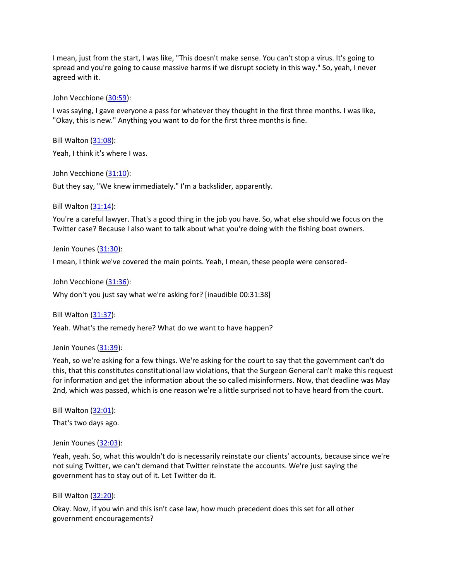I mean, just from the start, I was like, "This doesn't make sense. You can't stop a virus. It's going to spread and you're going to cause massive harms if we disrupt society in this way." So, yeah, I never agreed with it.

John Vecchione [\(30:59\)](https://www.rev.com/transcript-editor/Edit?token=4-auDjC47vAipCnOPlxZFoPAyVx7qBIDc9U2Jx24c8LZxLTDurwFTzLHCo8eXq61zKpPaa0Wj1Ywu9lSsaVEFN__MlM&loadFrom=DocumentDeeplink&ts=1859.6):

I was saying, I gave everyone a pass for whatever they thought in the first three months. I was like, "Okay, this is new." Anything you want to do for the first three months is fine.

Bill Walton [\(31:08\)](https://www.rev.com/transcript-editor/Edit?token=lt0TPf9_YXVXOlkEusWLslVRG5D1YlVlKH4MQ9kZGImulLxx4dpPfZetOxuZwm2OH2-cteoTugxGhL-T_xedIoOVa5U&loadFrom=DocumentDeeplink&ts=1868.42):

Yeah, I think it's where I was.

John Vecchione [\(31:10\)](https://www.rev.com/transcript-editor/Edit?token=y_xDKmq6w2Jju7ULa_ydM0ePiBV3l5P4OwMuIbErDtTrcR5LLdNbBZ6Ba7KRPmDGEQOzveevfbZRkImMiq2TR6WBYMs&loadFrom=DocumentDeeplink&ts=1870.4):

But they say, "We knew immediately." I'm a backslider, apparently.

Bill Walton [\(31:14\)](https://www.rev.com/transcript-editor/Edit?token=1zGJCKp0yaHeA9GUdVYw4AlvDnZHl1RqT8dUS0ftC2-5DLYyeqZIkgJ3ipaFBBZT4vIDPSoxD21QSUqweVLBSbFOBiQ&loadFrom=DocumentDeeplink&ts=1874.4):

You're a careful lawyer. That's a good thing in the job you have. So, what else should we focus on the Twitter case? Because I also want to talk about what you're doing with the fishing boat owners.

Jenin Younes [\(31:30\)](https://www.rev.com/transcript-editor/Edit?token=jFn1FdWc5sXdFz0CoGFFlaFb1C5nol3zSc1DXg6AfV-L4hx5Lr2ITDvIZ-3l9c-wNdhf-TCn73RlmaStJAoyMIvVrvg&loadFrom=DocumentDeeplink&ts=1890.27):

I mean, I think we've covered the main points. Yeah, I mean, these people were censored-

John Vecchione [\(31:36\)](https://www.rev.com/transcript-editor/Edit?token=O7brQo_4WDaYlfM3-WxKLTfOG4c0lSkd0o81nwDBGtcMkicZlenTHnpf-Eyy-qnNZ-tyOceOoBoDer7kqnRU_4K_WBQ&loadFrom=DocumentDeeplink&ts=1896.58):

Why don't you just say what we're asking for? [inaudible 00:31:38]

Bill Walton [\(31:37\)](https://www.rev.com/transcript-editor/Edit?token=ge3UMqS0spLQoaDwiB3ea7HxhCfyWDQVQgo6SalNDI9Ar96FOdS5fYMLLRuXaZmEcg2RL7jjXsxwpQEXMIubxdByxtE&loadFrom=DocumentDeeplink&ts=1897.66):

Yeah. What's the remedy here? What do we want to have happen?

#### Jenin Younes [\(31:39\)](https://www.rev.com/transcript-editor/Edit?token=z6fp5JQnD9ythusKdSCHj77giudoUQwGQkDqqM1Q9F1mNSRkSl4oCA2XLWaxmvASTUGMei5x8E1cuRvhrf4PtLSeJIo&loadFrom=DocumentDeeplink&ts=1899.83):

Yeah, so we're asking for a few things. We're asking for the court to say that the government can't do this, that this constitutes constitutional law violations, that the Surgeon General can't make this request for information and get the information about the so called misinformers. Now, that deadline was May 2nd, which was passed, which is one reason we're a little surprised not to have heard from the court.

Bill Walton [\(32:01\)](https://www.rev.com/transcript-editor/Edit?token=vd_pCasQ7lBlMjmOHmAfn-LePYgfvRkMbz9JfHHG7HVrPi-ov0GOZqS3vfVeuYnrryjyz9DAzMlvPeVE1KrgD43AGGo&loadFrom=DocumentDeeplink&ts=1921.88): That's two days ago.

Jenin Younes [\(32:03\)](https://www.rev.com/transcript-editor/Edit?token=TIBtDkZk0VEmzaN9BEXcoUibgMJXIPLlAOZ9rPqDi9vz8BRBfUV9tUOixe_CLjTBHfciyTTjA4673Eh6lqnsjC9FaAk&loadFrom=DocumentDeeplink&ts=1923.53):

Yeah, yeah. So, what this wouldn't do is necessarily reinstate our clients' accounts, because since we're not suing Twitter, we can't demand that Twitter reinstate the accounts. We're just saying the government has to stay out of it. Let Twitter do it.

#### Bill Walton [\(32:20\)](https://www.rev.com/transcript-editor/Edit?token=c-sJ_idUkrLcrP_hyF6GMPb0tvu-Ne6gVBQBlmMaas4Rr-pNBIg5RCxWFwqKMmdg2zh9YZLd6u0TAYxw3xpg0WfLld0&loadFrom=DocumentDeeplink&ts=1940.37):

Okay. Now, if you win and this isn't case law, how much precedent does this set for all other government encouragements?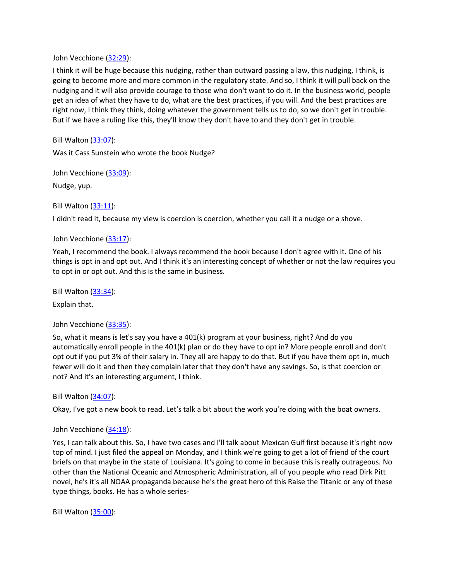John Vecchione [\(32:29\)](https://www.rev.com/transcript-editor/Edit?token=wni5Wkn95yiNhBMRe3KEF0U2d_kOvX_FwR7bDWqItWDc9haM0gCU47qwT5vlWzvFOAx06wRuyPvtlXus049qVAGhMHs&loadFrom=DocumentDeeplink&ts=1949.32):

I think it will be huge because this nudging, rather than outward passing a law, this nudging, I think, is going to become more and more common in the regulatory state. And so, I think it will pull back on the nudging and it will also provide courage to those who don't want to do it. In the business world, people get an idea of what they have to do, what are the best practices, if you will. And the best practices are right now, I think they think, doing whatever the government tells us to do, so we don't get in trouble. But if we have a ruling like this, they'll know they don't have to and they don't get in trouble.

Bill Walton [\(33:07\)](https://www.rev.com/transcript-editor/Edit?token=8EXYuafzMFujfRQz7O_NsOi5OzRr2h5nin-c4gBCoFM0iXN62DCsA99npok5vbBCH13IAhN93CfyDHDgo5Cp_rAxhwY&loadFrom=DocumentDeeplink&ts=1987.58):

Was it Cass Sunstein who wrote the book Nudge?

John Vecchione [\(33:09\)](https://www.rev.com/transcript-editor/Edit?token=Z2pmFY6OyDIZqIdomvGoIFOz87yvOGIxLBQNH7EvgU4RBzzxOshTaDdNi_HM6elzUdyrieSNLQaIM8zVHsFtbhttBIo&loadFrom=DocumentDeeplink&ts=1989.93):

Nudge, yup.

Bill Walton [\(33:11\)](https://www.rev.com/transcript-editor/Edit?token=iiqvE9aKO1mG9xUaL-UYRIsV2tA3Yrp_6RLqtW1qzasS_Z1QtUWN0gkietXm_PEsDfS5YsC8ipc0kWRraxr-iZJyYpw&loadFrom=DocumentDeeplink&ts=1991.37):

I didn't read it, because my view is coercion is coercion, whether you call it a nudge or a shove.

### John Vecchione [\(33:17\)](https://www.rev.com/transcript-editor/Edit?token=Ws1SS61VxWtQrc8E5uNMquubHnQqo8o1iFFyGEPMNrq34-66QTzVBOSU7wSZCqrNaNzOVLAPCssK0p44ZjDSPSEOZWE&loadFrom=DocumentDeeplink&ts=1997.69):

Yeah, I recommend the book. I always recommend the book because I don't agree with it. One of his things is opt in and opt out. And I think it's an interesting concept of whether or not the law requires you to opt in or opt out. And this is the same in business.

Bill Walton [\(33:34\)](https://www.rev.com/transcript-editor/Edit?token=HUh8lsDq24YUCVKSKYRniH2f4XesOWArsBO2vdgZNxSIlX9QgxaL1NE0h8UWkJ-grWbWSsMyfDeodXqe1Q7HXj6rCf8&loadFrom=DocumentDeeplink&ts=2014.69):

Explain that.

John Vecchione [\(33:35\)](https://www.rev.com/transcript-editor/Edit?token=dDXtoeb_wTl3Sd3Vd0m8C7QbImZ63oLTwiKVXLcoAPG3Ff2JAjjbjMXX4fugSa0l2fq-fd1L15-pBo4abukX4aJFKFc&loadFrom=DocumentDeeplink&ts=2015.38):

So, what it means is let's say you have a 401(k) program at your business, right? And do you automatically enroll people in the 401(k) plan or do they have to opt in? More people enroll and don't opt out if you put 3% of their salary in. They all are happy to do that. But if you have them opt in, much fewer will do it and then they complain later that they don't have any savings. So, is that coercion or not? And it's an interesting argument, I think.

Bill Walton [\(34:07\)](https://www.rev.com/transcript-editor/Edit?token=S4V1uJVgWSo7N-3x517mQpTlRmAhpurFrQ9Ejln5zKPScGv9mj2PZSGhqZud-JmNHJBcuZqEIsXmMC3jLIW4rSmVwXA&loadFrom=DocumentDeeplink&ts=2047.51):

Okay, I've got a new book to read. Let's talk a bit about the work you're doing with the boat owners.

#### John Vecchione [\(34:18\)](https://www.rev.com/transcript-editor/Edit?token=cTHQLg2ryerReuHnhnlpsz6tcj9dp_n_JotkVimPUCjmYLItSkXnplk3lyGIAcvMQczGD9GPDMpefF_AEeFmBeKxOPU&loadFrom=DocumentDeeplink&ts=2058.7):

Yes, I can talk about this. So, I have two cases and I'll talk about Mexican Gulf first because it's right now top of mind. I just filed the appeal on Monday, and I think we're going to get a lot of friend of the court briefs on that maybe in the state of Louisiana. It's going to come in because this is really outrageous. No other than the National Oceanic and Atmospheric Administration, all of you people who read Dirk Pitt novel, he's it's all NOAA propaganda because he's the great hero of this Raise the Titanic or any of these type things, books. He has a whole series-

Bill Walton [\(35:00\)](https://www.rev.com/transcript-editor/Edit?token=Jco9qrcpGjFdPS3XU7qzQU3JR020FquvHRbHJMTP7Pu1WNBCA5l-XxknJbzlqtssIOXkedKp2b5z1MRQKf9DHlnjDHY&loadFrom=DocumentDeeplink&ts=2100.52):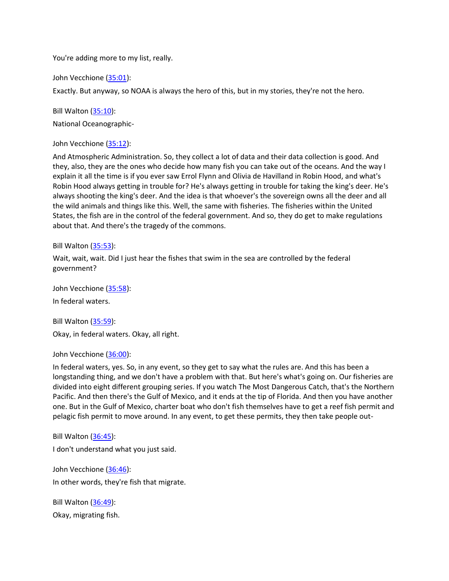You're adding more to my list, really.

John Vecchione [\(35:01\)](https://www.rev.com/transcript-editor/Edit?token=2ypVtbhY8Bd4sTvuLtTpGRCj6FRjioY_y4xfOfncVdTpGjK1UjZwuMwGSJyS5CFJb18bgoZDJGKw9TOqUIwFxHtTPec&loadFrom=DocumentDeeplink&ts=2101.5):

Exactly. But anyway, so NOAA is always the hero of this, but in my stories, they're not the hero.

Bill Walton [\(35:10\)](https://www.rev.com/transcript-editor/Edit?token=7QPDmyXO_2RijMmAQTUZ315qZpdXsPKjB5n7iA0ZQIwbyDySBET1caPSPSu2aAZ5JqJ4klcdXUfEGeCWR4qqtXji-eM&loadFrom=DocumentDeeplink&ts=2110.4):

National Oceanographic-

John Vecchione [\(35:12\)](https://www.rev.com/transcript-editor/Edit?token=w5G1m3kYJZEmF6dKM65JAC2px5T1oVXqM9RSCi2P2mT4KfQEAMGf4zS_oyPk0m5RURhMFUty8H5R3GyaUJDeRMpEqCQ&loadFrom=DocumentDeeplink&ts=2112.73):

And Atmospheric Administration. So, they collect a lot of data and their data collection is good. And they, also, they are the ones who decide how many fish you can take out of the oceans. And the way I explain it all the time is if you ever saw Errol Flynn and Olivia de Havilland in Robin Hood, and what's Robin Hood always getting in trouble for? He's always getting in trouble for taking the king's deer. He's always shooting the king's deer. And the idea is that whoever's the sovereign owns all the deer and all the wild animals and things like this. Well, the same with fisheries. The fisheries within the United States, the fish are in the control of the federal government. And so, they do get to make regulations about that. And there's the tragedy of the commons.

Bill Walton [\(35:53\)](https://www.rev.com/transcript-editor/Edit?token=f5-z2PPcGpzcf5mfr3_btIGve3BRC2EYktrYx1fsp4SMQRIszLCd7zDqbfcL1PZvWKaMoGZ9qJssrkWupLJdt0nNEP8&loadFrom=DocumentDeeplink&ts=2153.52):

Wait, wait, wait. Did I just hear the fishes that swim in the sea are controlled by the federal government?

John Vecchione [\(35:58\)](https://www.rev.com/transcript-editor/Edit?token=SKqtOSrWx1hktVJkxwQeIeedB1ZF-L7e5r28rNEgtS1aGEBap6bxPwaxJRmKSeYrYhmFfJPFlBcpIx7Fj8p0HwLQ2UM&loadFrom=DocumentDeeplink&ts=2158.3): In federal waters.

Bill Walton [\(35:59\)](https://www.rev.com/transcript-editor/Edit?token=Nx4UFsC5sI0XhA-zbmnf089PtNsvHuahYoUuBN4DJe9P-pGtkodhpYVDe_QlUoAXrCrpaO6FssEPddpC8-OZJUVb26c&loadFrom=DocumentDeeplink&ts=2159.49): Okay, in federal waters. Okay, all right.

John Vecchione [\(36:00\)](https://www.rev.com/transcript-editor/Edit?token=K4N99xIbDAhBc_riTkGnW_hzJyZXUlVxapcJ6UAIritnfK1lr7svNsHVeRV-CA3HaeI6gqT4NI44YdcZdKxHGR_OOHI&loadFrom=DocumentDeeplink&ts=2160.2):

In federal waters, yes. So, in any event, so they get to say what the rules are. And this has been a longstanding thing, and we don't have a problem with that. But here's what's going on. Our fisheries are divided into eight different grouping series. If you watch The Most Dangerous Catch, that's the Northern Pacific. And then there's the Gulf of Mexico, and it ends at the tip of Florida. And then you have another one. But in the Gulf of Mexico, charter boat who don't fish themselves have to get a reef fish permit and pelagic fish permit to move around. In any event, to get these permits, they then take people out-

Bill Walton [\(36:45\)](https://www.rev.com/transcript-editor/Edit?token=-f6BRaTF2o4_qmf11jqRc-ob74VkxGnZD6OGlPicvjdz1eI8ytTu0StpEBrzZceUW9yheeL6b5GFSHY88fVxuNYBTd8&loadFrom=DocumentDeeplink&ts=2205.89): I don't understand what you just said.

John Vecchione [\(36:46\)](https://www.rev.com/transcript-editor/Edit?token=nX47ZQxtEdpxHewPFa8aNGE51E5mWZlM0ApJ-8kDijxdc_0UWuS8X3t71L556p_A-1gTMB0FovmhCMG56pvMM_7Iq8s&loadFrom=DocumentDeeplink&ts=2206.39): In other words, they're fish that migrate.

Bill Walton [\(36:49\)](https://www.rev.com/transcript-editor/Edit?token=733x4mtF2rLsbVKo1ZLdD6b5ZpU1aSwAN8Y5StyG95ewGOXIcp_IBzkccFEmiu-OaK22cQmvEDun3oJz8A0wzYZaFdA&loadFrom=DocumentDeeplink&ts=2209.02): Okay, migrating fish.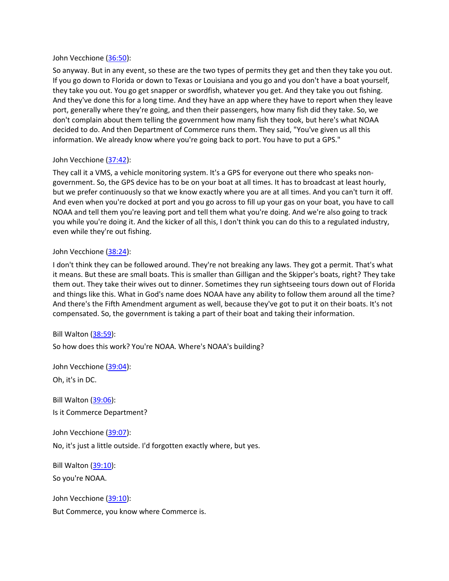### John Vecchione [\(36:50\)](https://www.rev.com/transcript-editor/Edit?token=zKvhdYR5h2Hm3LwM6cXzVmXACR_CDKblKZimndfWkNGSAxUqTWSP0jQyqj50xlzPkNGaQ2FOhaTPafBS7nyzMFyjcf8&loadFrom=DocumentDeeplink&ts=2210.23):

So anyway. But in any event, so these are the two types of permits they get and then they take you out. If you go down to Florida or down to Texas or Louisiana and you go and you don't have a boat yourself, they take you out. You go get snapper or swordfish, whatever you get. And they take you out fishing. And they've done this for a long time. And they have an app where they have to report when they leave port, generally where they're going, and then their passengers, how many fish did they take. So, we don't complain about them telling the government how many fish they took, but here's what NOAA decided to do. And then Department of Commerce runs them. They said, "You've given us all this information. We already know where you're going back to port. You have to put a GPS."

### John Vecchione [\(37:42\)](https://www.rev.com/transcript-editor/Edit?token=3C2icssgfzm2_NGaUMTSeO8EkgxBB5NdhbY1Bz2-E-mCdTj8zEcFoXYbAilXp1Vwapm-PVFfaUNDjzQfIvPKAjINKXU&loadFrom=DocumentDeeplink&ts=2262.07):

They call it a VMS, a vehicle monitoring system. It's a GPS for everyone out there who speaks nongovernment. So, the GPS device has to be on your boat at all times. It has to broadcast at least hourly, but we prefer continuously so that we know exactly where you are at all times. And you can't turn it off. And even when you're docked at port and you go across to fill up your gas on your boat, you have to call NOAA and tell them you're leaving port and tell them what you're doing. And we're also going to track you while you're doing it. And the kicker of all this, I don't think you can do this to a regulated industry, even while they're out fishing.

### John Vecchione [\(38:24\)](https://www.rev.com/transcript-editor/Edit?token=pdYk2AqUCEPX_K36caXZjM2zL6dsz01PxZAbnXtOTQCpCyonVIJPjU-MHNUxT5NPcJ3HhhtmmyUNQSjRSlzJQo3m3b0&loadFrom=DocumentDeeplink&ts=2304.84):

I don't think they can be followed around. They're not breaking any laws. They got a permit. That's what it means. But these are small boats. This is smaller than Gilligan and the Skipper's boats, right? They take them out. They take their wives out to dinner. Sometimes they run sightseeing tours down out of Florida and things like this. What in God's name does NOAA have any ability to follow them around all the time? And there's the Fifth Amendment argument as well, because they've got to put it on their boats. It's not compensated. So, the government is taking a part of their boat and taking their information.

Bill Walton [\(38:59\)](https://www.rev.com/transcript-editor/Edit?token=Q50jnVn9t77gh-_1BjlFTNbJObp_IKKl1KFx57VD8yERjDcxfz90Y5CJh0qTP_BHaHKQYcq6xm7hOF-2lovZ-q3rCyk&loadFrom=DocumentDeeplink&ts=2339.66):

So how does this work? You're NOAA. Where's NOAA's building?

John Vecchione [\(39:04\)](https://www.rev.com/transcript-editor/Edit?token=Z0vQLKLRfKpVm04jwWL5RlpZ-SZm586Zhcyk7MhQEB1BNcOe3-ixiJdHdYG-uF9vuQVsW-wFVe7qq0M8fRJrmA1maJs&loadFrom=DocumentDeeplink&ts=2344.51): Oh, it's in DC.

Bill Walton [\(39:06\)](https://www.rev.com/transcript-editor/Edit?token=jP2MUlPW6G0z_KzjfiEHKKQKnaBwnIiOJYI4F6vYFR4xclJr-tRvSq5ONQmVe80iX_4VJsAhy7UVCYl6jMYr3BCyy_Y&loadFrom=DocumentDeeplink&ts=2346.07): Is it Commerce Department?

John Vecchione [\(39:07\)](https://www.rev.com/transcript-editor/Edit?token=q7Ybp4b0vWt_8_CaWS8STJxCQgPwt2vN2ob1v_fVZFy0unkwo-6_CgvoMyVjEO853rnWVKExFWOzTr8FtMF9QYBLTvI&loadFrom=DocumentDeeplink&ts=2347.47):

No, it's just a little outside. I'd forgotten exactly where, but yes.

Bill Walton [\(39:10\)](https://www.rev.com/transcript-editor/Edit?token=WaWGbqre4K157UNMdm_5k_LlCpwP6SSvqjFMRsIUokch775zKCvDa-78ilXP2--8wnH6p4Cq0IVlaoosx6uRGXpmzsQ&loadFrom=DocumentDeeplink&ts=2350.4): So you're NOAA.

John Vecchione [\(39:10\)](https://www.rev.com/transcript-editor/Edit?token=HSTX_4PyvxrEGge-Z4bEb5pE0fhG5vmsUK-yFC_Ugb_8diJzfmul1DvxQEKpMT44iIO8axLxiWw9CGcU9MVdyq17bI0&loadFrom=DocumentDeeplink&ts=2350.72): But Commerce, you know where Commerce is.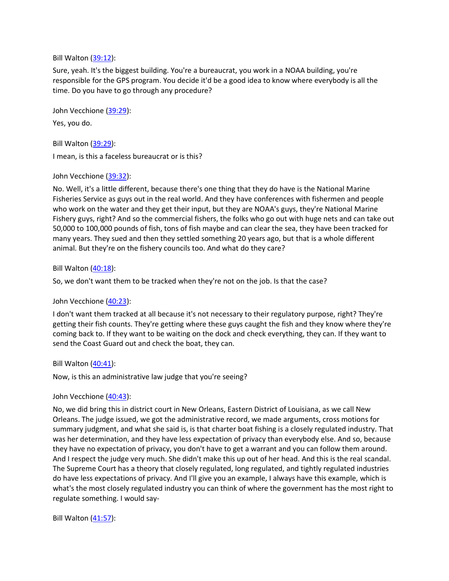### Bill Walton [\(39:12\)](https://www.rev.com/transcript-editor/Edit?token=n_MYwbCtzm9o2mQrtkAaozweCEw5Z9fr0XugkdnSFDUBxDmL-woLWJkfBGcrWhU9ICnvz455LWKZvIHWY5V2mtkh4A4&loadFrom=DocumentDeeplink&ts=2352.6):

Sure, yeah. It's the biggest building. You're a bureaucrat, you work in a NOAA building, you're responsible for the GPS program. You decide it'd be a good idea to know where everybody is all the time. Do you have to go through any procedure?

John Vecchione [\(39:29\)](https://www.rev.com/transcript-editor/Edit?token=Na6KyJ1VekT5g0lW55xPPHufm5Dnxk2quugzFqtYNL-dPOcyykw_dhhbsaZ9ONkSsXZ3JKPyofdCjAsxDohuQPXc7kw&loadFrom=DocumentDeeplink&ts=2369.42): Yes, you do.

Bill Walton [\(39:29\)](https://www.rev.com/transcript-editor/Edit?token=NqGqMR3lWuQVORIMJ8wrBhtVCJzZwa_9uJB8O_Q4_b-j4pZwVPAovD4yn2WBFrtpYk3IXGAT9rVd6HhKvOaKtTy61ik&loadFrom=DocumentDeeplink&ts=2369.63):

I mean, is this a faceless bureaucrat or is this?

### John Vecchione [\(39:32\)](https://www.rev.com/transcript-editor/Edit?token=xUNY-oSeORsg-kAoHXbli09Vdu_9zoPQvFFYHBEmEcbhFBDNjc3HRdQDdeJ3-zIkNlBzIuGLDeRenD2wmrWqGaEmLew&loadFrom=DocumentDeeplink&ts=2372.02):

No. Well, it's a little different, because there's one thing that they do have is the National Marine Fisheries Service as guys out in the real world. And they have conferences with fishermen and people who work on the water and they get their input, but they are NOAA's guys, they're National Marine Fishery guys, right? And so the commercial fishers, the folks who go out with huge nets and can take out 50,000 to 100,000 pounds of fish, tons of fish maybe and can clear the sea, they have been tracked for many years. They sued and then they settled something 20 years ago, but that is a whole different animal. But they're on the fishery councils too. And what do they care?

### Bill Walton [\(40:18\)](https://www.rev.com/transcript-editor/Edit?token=kuEqWpscpl2z0Gazh3jgmdNzQLgNgZmeEZqJrPv43tJfADFe1snHjGvZNlv1aKnwlIQ-ONDIdi6Jlgl510BU6F3HV0c&loadFrom=DocumentDeeplink&ts=2418.24):

So, we don't want them to be tracked when they're not on the job. Is that the case?

### John Vecchione [\(40:23\)](https://www.rev.com/transcript-editor/Edit?token=iG0FxiTh7MH8Ft4SOACs2KhjaGIKKXZsqlXSfdmTnzmMaBadoq-E9ZQdVNjSzcwwnu3PJI5VStoj7c1Xx1h0ExBq_SQ&loadFrom=DocumentDeeplink&ts=2423.53):

I don't want them tracked at all because it's not necessary to their regulatory purpose, right? They're getting their fish counts. They're getting where these guys caught the fish and they know where they're coming back to. If they want to be waiting on the dock and check everything, they can. If they want to send the Coast Guard out and check the boat, they can.

### Bill Walton [\(40:41\)](https://www.rev.com/transcript-editor/Edit?token=wIktwV2gDwtAUuzmi6lMLsYwrfiqrRg7mUZeB_rs6tVjtfuWFE-FuxWvp0-S9xUGxPCKRfIEwlm-8FyPwGxqA27YO8Q&loadFrom=DocumentDeeplink&ts=2441.52):

Now, is this an administrative law judge that you're seeing?

### John Vecchione [\(40:43\)](https://www.rev.com/transcript-editor/Edit?token=7_Ac1er4b-O4tscvenQrIbrmqSmLzhg5uL9Ke1iQXAzPuY7O1zAs2qG0IhMssFRYPIgyPrC0A94gHCDTDikHvBX50Dk&loadFrom=DocumentDeeplink&ts=2443.53):

No, we did bring this in district court in New Orleans, Eastern District of Louisiana, as we call New Orleans. The judge issued, we got the administrative record, we made arguments, cross motions for summary judgment, and what she said is, is that charter boat fishing is a closely regulated industry. That was her determination, and they have less expectation of privacy than everybody else. And so, because they have no expectation of privacy, you don't have to get a warrant and you can follow them around. And I respect the judge very much. She didn't make this up out of her head. And this is the real scandal. The Supreme Court has a theory that closely regulated, long regulated, and tightly regulated industries do have less expectations of privacy. And I'll give you an example, I always have this example, which is what's the most closely regulated industry you can think of where the government has the most right to regulate something. I would say-

Bill Walton [\(41:57\)](https://www.rev.com/transcript-editor/Edit?token=H49lRgrxg-QE1mrfQ962R_2jyRFc2eb0_WLpD5o11LYC1i60Vxw9SGK7MT9clh8pnJ-ICvbStUC3nuJCR9tNoKm4NNU&loadFrom=DocumentDeeplink&ts=2517.44):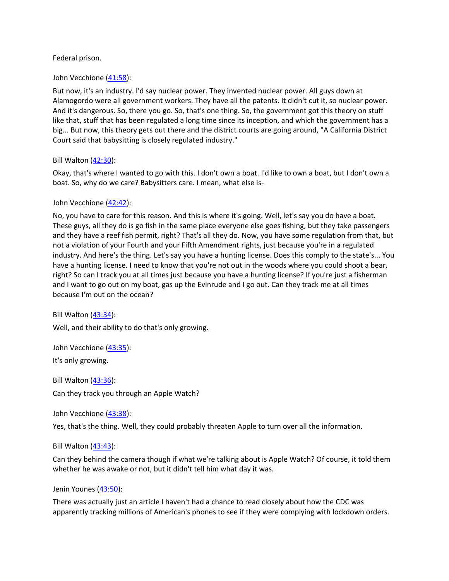### Federal prison.

#### John Vecchione [\(41:58\)](https://www.rev.com/transcript-editor/Edit?token=G-bSnGuCjKE4K3rsUHLPOrj_ZAFR45SBLco228WJLKEryMnDhMMr3GSvrSeD8TQ_XR7t9Q5E3nBIIXPUTrx8VFmMjv4&loadFrom=DocumentDeeplink&ts=2518):

But now, it's an industry. I'd say nuclear power. They invented nuclear power. All guys down at Alamogordo were all government workers. They have all the patents. It didn't cut it, so nuclear power. And it's dangerous. So, there you go. So, that's one thing. So, the government got this theory on stuff like that, stuff that has been regulated a long time since its inception, and which the government has a big... But now, this theory gets out there and the district courts are going around, "A California District Court said that babysitting is closely regulated industry."

### Bill Walton [\(42:30\)](https://www.rev.com/transcript-editor/Edit?token=XM7DyhdURCGeStVTOvgpK4FXJMJkKif7Ehx_arkaKxMCAbBe1D1QdCcPBYVbECqUwSzVVAkbhrBsjB8slhTUQxIV3ls&loadFrom=DocumentDeeplink&ts=2550.8):

Okay, that's where I wanted to go with this. I don't own a boat. I'd like to own a boat, but I don't own a boat. So, why do we care? Babysitters care. I mean, what else is-

### John Vecchione [\(42:42\)](https://www.rev.com/transcript-editor/Edit?token=2a1esV0Hu5FNqGA9U0GXaapxg31M68FMK90mKUajvbsAP89k_AwnkciJfMdmDiSMXDOlxJICjx6aUEIOpZ78NwwaT-c&loadFrom=DocumentDeeplink&ts=2562.39):

No, you have to care for this reason. And this is where it's going. Well, let's say you do have a boat. These guys, all they do is go fish in the same place everyone else goes fishing, but they take passengers and they have a reef fish permit, right? That's all they do. Now, you have some regulation from that, but not a violation of your Fourth and your Fifth Amendment rights, just because you're in a regulated industry. And here's the thing. Let's say you have a hunting license. Does this comply to the state's... You have a hunting license. I need to know that you're not out in the woods where you could shoot a bear, right? So can I track you at all times just because you have a hunting license? If you're just a fisherman and I want to go out on my boat, gas up the Evinrude and I go out. Can they track me at all times because I'm out on the ocean?

Bill Walton  $(43:34)$ : Well, and their ability to do that's only growing.

John Vecchione [\(43:35\)](https://www.rev.com/transcript-editor/Edit?token=7PjETiEauZhNaTYol4TAER26WfhuZYK578kfTDH76hVn-rht5flU5SAmVZgGGsPc1F_Ck45m6E12h_EjmoWeVGBEUvg&loadFrom=DocumentDeeplink&ts=2615.1):

It's only growing.

Bill Walton [\(43:36\)](https://www.rev.com/transcript-editor/Edit?token=Vds7IXg6a4rr7kfgip7mCg8iwPLcNeGVR2H5gZ3WqV5cAzyQ3SyC_e2rT4CaZpbHDUt_0zmC0G90dMDGZ4CqhrncWLI&loadFrom=DocumentDeeplink&ts=2616.6): Can they track you through an Apple Watch?

John Vecchione [\(43:38\)](https://www.rev.com/transcript-editor/Edit?token=9qSb5YPSacLH8QVoJikTLlX19zg6__Z7cQ2MrHh-Qwiy5Y4nA2SJby_eQzAO9iWn8PnbFCvYDkj0wL4Yu4hIC6uiJZg&loadFrom=DocumentDeeplink&ts=2618.77):

Yes, that's the thing. Well, they could probably threaten Apple to turn over all the information.

### Bill Walton [\(43:43\)](https://www.rev.com/transcript-editor/Edit?token=sULygKr6GgCu-ZIdRCxOxufc1RbpvO4Iljm1epVCI1t4sqdJI_W8yKKUEDkvB9ZO_-TSdlvXz8IcEuyPT7eeTn7KbZI&loadFrom=DocumentDeeplink&ts=2623):

Can they behind the camera though if what we're talking about is Apple Watch? Of course, it told them whether he was awake or not, but it didn't tell him what day it was.

#### Jenin Younes [\(43:50\)](https://www.rev.com/transcript-editor/Edit?token=locRcIwuwex7LDAQMU55h3Gt8Uf2KMx91rMiYFCoAoiKL63QhNPsxH4Kks7tnKzWcfog3KC3w73FsnCvRJXYN9dRJo4&loadFrom=DocumentDeeplink&ts=2630.8):

There was actually just an article I haven't had a chance to read closely about how the CDC was apparently tracking millions of American's phones to see if they were complying with lockdown orders.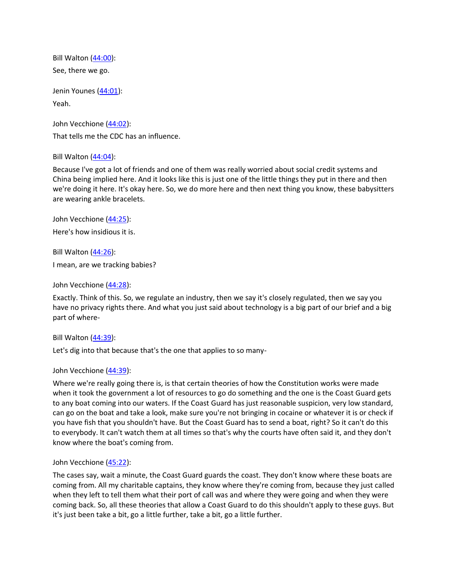Bill Walton [\(44:00\)](https://www.rev.com/transcript-editor/Edit?token=FIp_n-A-Y60cqkb_2zyMrEH3pLrYdNHDOYZvlzKVp7iN3YawqEpB6HYRk4SMG1Ed1jozdSRG4eDmhSzfm6Ae3Vw6Yf8&loadFrom=DocumentDeeplink&ts=2640.51): See, there we go.

Jenin Younes [\(44:01\)](https://www.rev.com/transcript-editor/Edit?token=a8II-Kp-PASOkyJ_JOj1uvzmEMG6m6cv6qqWTnhmg2etUD1ulXs7dirxNptpvYR52D599ljmrFoLoSxIosR78WsLWlU&loadFrom=DocumentDeeplink&ts=2641.28): Yeah.

John Vecchione [\(44:02\)](https://www.rev.com/transcript-editor/Edit?token=Oz8fOp9OtFvD1XuMarQCA15H8ObKqllyzIQPNC7TSYHlBkRy-QMs9iAaFllEix_Y9uU5VOitLXqw0ivEJEZdGU9SGGc&loadFrom=DocumentDeeplink&ts=2642.67): That tells me the CDC has an influence.

Bill Walton [\(44:04\)](https://www.rev.com/transcript-editor/Edit?token=ATuNpp9Pi2YE3h20S9uyhrVbUdYFACCDn8y1pdUaQOPKOGwvKzlh6OC9dxBUL441PISOjyiz3-4EXHmeyAVwwEbSmDE&loadFrom=DocumentDeeplink&ts=2644.74):

Because I've got a lot of friends and one of them was really worried about social credit systems and China being implied here. And it looks like this is just one of the little things they put in there and then we're doing it here. It's okay here. So, we do more here and then next thing you know, these babysitters are wearing ankle bracelets.

John Vecchione [\(44:25\)](https://www.rev.com/transcript-editor/Edit?token=uwo7BT3gGu7GDw72Z3JgcxnUzEbFLffZDAnogPxtMNxu0Iv84-Kg4SvEwD5DwAJpp490vg7XgMVWpCaZ9JW-NInV1jA&loadFrom=DocumentDeeplink&ts=2665.02): Here's how insidious it is.

Bill Walton  $(44:26)$ : I mean, are we tracking babies?

John Vecchione [\(44:28\)](https://www.rev.com/transcript-editor/Edit?token=ERSyj1DTQKh6V9cyoVvWNMXi6n1UahSKxV8cPs0bHyhw9SZBoLbmywD43ulqedNUpfcJsXcSRkNvs69Th2lr8UkEu3E&loadFrom=DocumentDeeplink&ts=2668.52):

Exactly. Think of this. So, we regulate an industry, then we say it's closely regulated, then we say you have no privacy rights there. And what you just said about technology is a big part of our brief and a big part of where-

Bill Walton [\(44:39\)](https://www.rev.com/transcript-editor/Edit?token=ICqL7Pw2N46hb60sOiEhGd6agA6mmKsjzMhmR68wGt-EJvLQMrzOoPGpFN5xZoCMxRuY0Ay2XZAnLCxcJ4vs6KsFDPA&loadFrom=DocumentDeeplink&ts=2679.45):

Let's dig into that because that's the one that applies to so many-

### John Vecchione [\(44:39\)](https://www.rev.com/transcript-editor/Edit?token=gu1RmjLVK00g_Wx-FOYHcCXIX4qf1dM9_SpvSblCyNFBI-Y063DDc72Lvnl-qOOqbAIzVENhOfm0bDB1QUvICiwiL74&loadFrom=DocumentDeeplink&ts=2679.45):

Where we're really going there is, is that certain theories of how the Constitution works were made when it took the government a lot of resources to go do something and the one is the Coast Guard gets to any boat coming into our waters. If the Coast Guard has just reasonable suspicion, very low standard, can go on the boat and take a look, make sure you're not bringing in cocaine or whatever it is or check if you have fish that you shouldn't have. But the Coast Guard has to send a boat, right? So it can't do this to everybody. It can't watch them at all times so that's why the courts have often said it, and they don't know where the boat's coming from.

John Vecchione [\(45:22\)](https://www.rev.com/transcript-editor/Edit?token=-827qoNHm8nPxpRsjAYr5pgTOTrR8LZ27g-27D5EtqkYfKYz-JXdk3kfbp6IILGp8XmhZdRH7Y_NY-nfP9OoLBfQrgE&loadFrom=DocumentDeeplink&ts=2722.38):

The cases say, wait a minute, the Coast Guard guards the coast. They don't know where these boats are coming from. All my charitable captains, they know where they're coming from, because they just called when they left to tell them what their port of call was and where they were going and when they were coming back. So, all these theories that allow a Coast Guard to do this shouldn't apply to these guys. But it's just been take a bit, go a little further, take a bit, go a little further.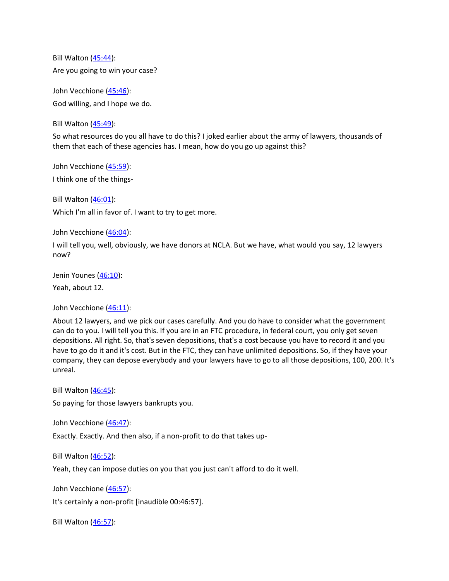Bill Walton [\(45:44\)](https://www.rev.com/transcript-editor/Edit?token=OI9Sa-wTg-wI1owM1TNJzdb-TMgdStf6_mWCAggmOPcphOfwEI8L5b3G5sCld39oWY-nstIYXban4hP6TA-HneL3vkI&loadFrom=DocumentDeeplink&ts=2744.44): Are you going to win your case?

John Vecchione [\(45:46\)](https://www.rev.com/transcript-editor/Edit?token=oFxWIwnRGnQjBKytGJhVLfx0GPvpUS7w5uyQWbRU3W9qa_tdDVrg181IDH4Sjxu8kAcJjK4QZpAVOl_tNxiamGJMi6E&loadFrom=DocumentDeeplink&ts=2746.24): God willing, and I hope we do.

Bill Walton [\(45:49\)](https://www.rev.com/transcript-editor/Edit?token=Hr8kW1rt2mFr9ss8SsVwP5KPITN_hLTdS3UB1GmLJBTOnHTS2POeMhw7gqCFYlefqqjTTfe4m68yjYDykqr7r_6h7tQ&loadFrom=DocumentDeeplink&ts=2749.21):

So what resources do you all have to do this? I joked earlier about the army of lawyers, thousands of them that each of these agencies has. I mean, how do you go up against this?

John Vecchione [\(45:59\)](https://www.rev.com/transcript-editor/Edit?token=iwL9LLtTjPKSQ7lyyi-vIMHtCQGHbhkA0_nIwyLDWKBTrmDwIfEDypWoIEHplVJagjRhVVi2NGwfosWz_syxEGPxW_M&loadFrom=DocumentDeeplink&ts=2759.47): I think one of the things-

Bill Walton [\(46:01\)](https://www.rev.com/transcript-editor/Edit?token=c5vRDPKzpAE_NSSpBNwZFDomXUdCv4e4ak8WEjFpaqRs60ET4aExOyX6VPmBZvm9fQrEjutikrIs6TGH2gbgn8CGX9I&loadFrom=DocumentDeeplink&ts=2761.91): Which I'm all in favor of. I want to try to get more.

John Vecchione [\(46:04\)](https://www.rev.com/transcript-editor/Edit?token=-ECqCf15bnBDVE7h6VI5OnHtbQITPaiJC4OskT-VvsrvvTaKIk01IYjdJqRjzGOrok0zO-HFO161Om0Vbn3BdeFFtnw&loadFrom=DocumentDeeplink&ts=2764.41):

I will tell you, well, obviously, we have donors at NCLA. But we have, what would you say, 12 lawyers now?

Jenin Younes [\(46:10\)](https://www.rev.com/transcript-editor/Edit?token=4aGj01G5qESc_caWmvvohXM8G6WYh1GZgUw5XBkcnjh84GOaCjDlep-Odv8ToMdlQfgGUw9T4Eb_i4Iv_AdJOJgLWGI&loadFrom=DocumentDeeplink&ts=2770.15):

Yeah, about 12.

John Vecchione [\(46:11\)](https://www.rev.com/transcript-editor/Edit?token=e_g_aYMaM97rQyMSk2QRUhmZ2nLAkZVIzIWH4b8E32LQ9ANGeZaTsUz3_n_yQQLnx9VbS17f5hV8Mj07wT4Wc0O9JJ4&loadFrom=DocumentDeeplink&ts=2771.16):

About 12 lawyers, and we pick our cases carefully. And you do have to consider what the government can do to you. I will tell you this. If you are in an FTC procedure, in federal court, you only get seven depositions. All right. So, that's seven depositions, that's a cost because you have to record it and you have to go do it and it's cost. But in the FTC, they can have unlimited depositions. So, if they have your company, they can depose everybody and your lawyers have to go to all those depositions, 100, 200. It's unreal.

Bill Walton [\(46:45\)](https://www.rev.com/transcript-editor/Edit?token=MQkKhHaZNGiSw9RG6hQdN_tOfwgc4ENpHvDne4BiBzgbOjK2mXxlVjCMv_b5hB-TIB7TK7P4-pKixEWOvn52Di5RHIE&loadFrom=DocumentDeeplink&ts=2805.3):

So paying for those lawyers bankrupts you.

John Vecchione [\(46:47\)](https://www.rev.com/transcript-editor/Edit?token=0-N72gH2PbsffjWZtw_lg2e8Bxle8hymMZwel0a_0MGPNSrVyMa5KrOIF82bSyntDaVNlki8LdEzqM9j0PIEWHCGOYU&loadFrom=DocumentDeeplink&ts=2807.46):

Exactly. Exactly. And then also, if a non-profit to do that takes up-

Bill Walton [\(46:52\)](https://www.rev.com/transcript-editor/Edit?token=QAp2CwaoZ3Y5ema4N0phuBtJKaEA7sDAT3Q_fFsbugSeyeYmdsBitGNpC11dE5b2G-tdQCVHTSpfsEiEiBwCZS7Ao0k&loadFrom=DocumentDeeplink&ts=2812.09):

Yeah, they can impose duties on you that you just can't afford to do it well.

John Vecchione [\(46:57\)](https://www.rev.com/transcript-editor/Edit?token=u7IFY7okr8W86hxFmc5R3qLqJQTxjzKtswsQ-WIs7OlhnokRoBKaGptR2BxDrFl76qmw2AjuWX4P7Fh5QKJ0iSGIibg&loadFrom=DocumentDeeplink&ts=2817):

It's certainly a non-profit [inaudible 00:46:57].

Bill Walton [\(46:57\)](https://www.rev.com/transcript-editor/Edit?token=tA0DPQorBvqcneGEWC_e-_gT6sGweguvwcMaplcTgFVwnwlNZduvbcYMfHDQXWiaxDzL8YpZRIaGupbnKXHj4L7garY&loadFrom=DocumentDeeplink&ts=2817):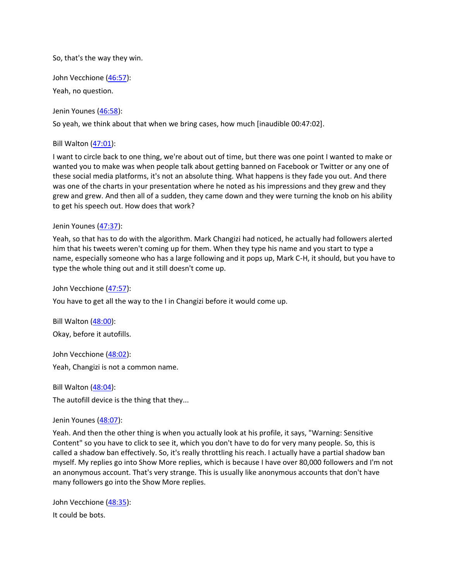So, that's the way they win.

John Vecchione [\(46:57\)](https://www.rev.com/transcript-editor/Edit?token=7oXcL9SJR3C-lqoL5v3pwT3N1e-PYks0bZLqZJc2mc0z3xeApX5mouI4DjyAXoHNpwxHKX3dp6iGrZWAx-R5PSfFQu8&loadFrom=DocumentDeeplink&ts=2817.43):

Yeah, no question.

Jenin Younes [\(46:58\)](https://www.rev.com/transcript-editor/Edit?token=ZiXaxZN3rMrTjf_ThjdPkXCJF08zJCb75ciEW2KuIY3o_ZppteCKGqbk0BcaHFpsYL8tfuhA6FuKNK5RbXP1utmtT8I&loadFrom=DocumentDeeplink&ts=2818.47):

So yeah, we think about that when we bring cases, how much [inaudible 00:47:02].

Bill Walton [\(47:01\)](https://www.rev.com/transcript-editor/Edit?token=dGaexiY3ZzXpWFFBntP9i0NUW02Wb4Q-Z9wyQDVVtzEMB94KoddbJDPbfCggsgqAF1ZAEiD5wfGg70UTjU3Ox66mSkA&loadFrom=DocumentDeeplink&ts=2821.5):

I want to circle back to one thing, we're about out of time, but there was one point I wanted to make or wanted you to make was when people talk about getting banned on Facebook or Twitter or any one of these social media platforms, it's not an absolute thing. What happens is they fade you out. And there was one of the charts in your presentation where he noted as his impressions and they grew and they grew and grew. And then all of a sudden, they came down and they were turning the knob on his ability to get his speech out. How does that work?

### Jenin Younes [\(47:37\)](https://www.rev.com/transcript-editor/Edit?token=TMyDkPrxV0_vTRzzYqaeFjUMeeAXfLjoEr4MR-MKBoVi6WPqkuCqFjf2nQmvYbokRpVs3dBdRUKiimNkcVWG8vk0X_k&loadFrom=DocumentDeeplink&ts=2857.38):

Yeah, so that has to do with the algorithm. Mark Changizi had noticed, he actually had followers alerted him that his tweets weren't coming up for them. When they type his name and you start to type a name, especially someone who has a large following and it pops up, Mark C-H, it should, but you have to type the whole thing out and it still doesn't come up.

John Vecchione [\(47:57\)](https://www.rev.com/transcript-editor/Edit?token=nnwNybJJiX6RhHeIKERnG7-PgsZYxaPQH491jJqMrljARjoC9spXAi8Dt_X-P16vmAXXYe_xKrTr7jk4uFPQnxnxAak&loadFrom=DocumentDeeplink&ts=2877.39):

You have to get all the way to the I in Changizi before it would come up.

Bill Walton [\(48:00\)](https://www.rev.com/transcript-editor/Edit?token=heHo5V47F2F1odPNIN5RqvfcyBvY5rqz9PuJ3gV1Aj2rUldSfmBppdHS1G6Lm0OXI88Wbo2qIZGD0KvVJ_9RpgoBEcw&loadFrom=DocumentDeeplink&ts=2880.59): Okay, before it autofills.

John Vecchione [\(48:02\)](https://www.rev.com/transcript-editor/Edit?token=Hr5wB4g9uMy1ra2UcVxc95MXJ78DDqdLFqpAxxNFcJsOmWkOXKAz77fVGP7HKCv7Qi2k0XqGe4w7r2I4rjZ0f2AEIgM&loadFrom=DocumentDeeplink&ts=2882.46): Yeah, Changizi is not a common name.

Bill Walton  $(48:04)$ : The autofill device is the thing that they...

#### Jenin Younes [\(48:07\)](https://www.rev.com/transcript-editor/Edit?token=-_zgCeIfjRG645iNp9Qs6vDifzidDKLQo3KzUxmECOrWHRE81q9CiEYLFh9814zxlUxvmtVVyJ598ZhUlnhMqYyHH7U&loadFrom=DocumentDeeplink&ts=2887.3):

Yeah. And then the other thing is when you actually look at his profile, it says, "Warning: Sensitive Content" so you have to click to see it, which you don't have to do for very many people. So, this is called a shadow ban effectively. So, it's really throttling his reach. I actually have a partial shadow ban myself. My replies go into Show More replies, which is because I have over 80,000 followers and I'm not an anonymous account. That's very strange. This is usually like anonymous accounts that don't have many followers go into the Show More replies.

John Vecchione [\(48:35\)](https://www.rev.com/transcript-editor/Edit?token=etrG9MHif3a1A14_h2tybsoxjQR_VbY0P4L59f2LOZ6WfgIQ20Hb399fxnbeo0QZMhiFx-4mYw6fY0hhDQu8cFWVWjY&loadFrom=DocumentDeeplink&ts=2915.54): It could be bots.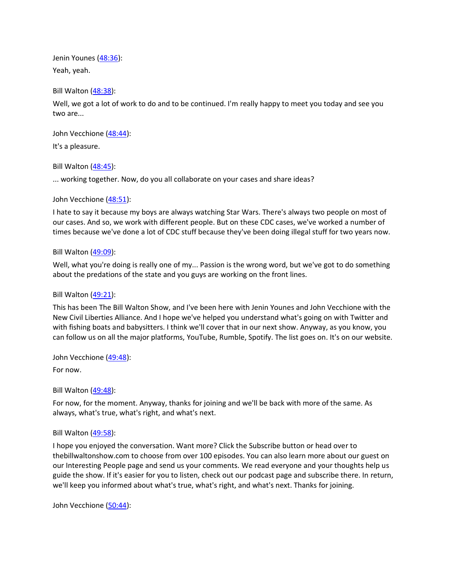Jenin Younes [\(48:36\)](https://www.rev.com/transcript-editor/Edit?token=j-tPYU6hXU8swYprweWmoF-biw6nX7s3rKmKne_inPYiqnKN25sZZizEGuXqwyPNi6Ji5r4xQVP6czhHhoKCMcpMOx0&loadFrom=DocumentDeeplink&ts=2916.46): Yeah, yeah.

Bill Walton [\(48:38\)](https://www.rev.com/transcript-editor/Edit?token=2SzemdiVEK-0LYcbB7SpryDs0Z1NruYfsQZdx8sQURKmX7aeDREwguBvtYXk80zeEsQ8P9bfWZ-d9roFXxdIyeYqGu8&loadFrom=DocumentDeeplink&ts=2918.95):

Well, we got a lot of work to do and to be continued. I'm really happy to meet you today and see you two are...

John Vecchione [\(48:44\)](https://www.rev.com/transcript-editor/Edit?token=BwhnpFMMNQ0D13dEFcPHmdrk6GYL7DZG2cDCfE-ybMp23eaZeTDJwzWGXisK4VpQug3gPhzAVp_dc7xfZxUIPR2_GOM&loadFrom=DocumentDeeplink&ts=2924.83):

It's a pleasure.

Bill Walton [\(48:45\)](https://www.rev.com/transcript-editor/Edit?token=euZVI4UnoJYQrsgvCt3af5yolO5R5jFlPq2i0-z6a3H-RKcPWmTheCQdG-X4Zc6b5aHxsBk02XgCFx6NqsmPlMuP4SQ&loadFrom=DocumentDeeplink&ts=2925.15):

... working together. Now, do you all collaborate on your cases and share ideas?

## John Vecchione [\(48:51\)](https://www.rev.com/transcript-editor/Edit?token=4l1KytSZm84VEy2Y1Xbj_1SGlf9LmgVYNTIYiu8Xsd9ZbAW20OTRvdrHWr3V1Zx__0zTyfcC8rv0djJS1xvgXSEQiU8&loadFrom=DocumentDeeplink&ts=2931.81):

I hate to say it because my boys are always watching Star Wars. There's always two people on most of our cases. And so, we work with different people. But on these CDC cases, we've worked a number of times because we've done a lot of CDC stuff because they've been doing illegal stuff for two years now.

## Bill Walton [\(49:09\)](https://www.rev.com/transcript-editor/Edit?token=_7bibmNaxG8MaVlcN2ggbcSJjNLmVr0Nl-3dojByj8Zynfexw34oujfM67INgHR8WtprHWndcAmM9BsHGOiOFGXYklY&loadFrom=DocumentDeeplink&ts=2949.97):

Well, what you're doing is really one of my... Passion is the wrong word, but we've got to do something about the predations of the state and you guys are working on the front lines.

### Bill Walton [\(49:21\)](https://www.rev.com/transcript-editor/Edit?token=nmL_D_L-raJnt9MfFS6lYbUXQ8PFEgAVkSLsRI0T-pWoS4q7uEauU_lFXZH1KENNCxY2mnUwZfF7bmjAfSCbTurjW_8&loadFrom=DocumentDeeplink&ts=2961.26):

This has been The Bill Walton Show, and I've been here with Jenin Younes and John Vecchione with the New Civil Liberties Alliance. And I hope we've helped you understand what's going on with Twitter and with fishing boats and babysitters. I think we'll cover that in our next show. Anyway, as you know, you can follow us on all the major platforms, YouTube, Rumble, Spotify. The list goes on. It's on our website.

John Vecchione [\(49:48\)](https://www.rev.com/transcript-editor/Edit?token=d7YtJPA389kARa8XcGzFWOudTukG_F5ptdGvuMZIp4gTywr5e_gYfor6z0XwRMF1hoavLxKddQg0zgO7_yXPuIEAUKU&loadFrom=DocumentDeeplink&ts=2988.16):

For now.

Bill Walton [\(49:48\)](https://www.rev.com/transcript-editor/Edit?token=5I2rACP3sQ8699iwGghPpEtQAfBqag7qL3AJlORGUMAyCuD-q18KCZVsTihsK-F5JGwQgQOrpGlbIkS9fIwEwMOITsI&loadFrom=DocumentDeeplink&ts=2988.69):

For now, for the moment. Anyway, thanks for joining and we'll be back with more of the same. As always, what's true, what's right, and what's next.

# Bill Walton [\(49:58\)](https://www.rev.com/transcript-editor/Edit?token=bmZi_0AnYSML7F67WYyWA1iUpaTtFNUBnWRLgurAwQcddZmlE-w7Fm5tgmS7N6vdwexYWcO2oyx73S2dN1bfXbN2Wzw&loadFrom=DocumentDeeplink&ts=2998.71):

I hope you enjoyed the conversation. Want more? Click the Subscribe button or head over to thebillwaltonshow.com to choose from over 100 episodes. You can also learn more about our guest on our Interesting People page and send us your comments. We read everyone and your thoughts help us guide the show. If it's easier for you to listen, check out our podcast page and subscribe there. In return, we'll keep you informed about what's true, what's right, and what's next. Thanks for joining.

John Vecchione [\(50:44\)](https://www.rev.com/transcript-editor/Edit?token=HFoV_-XCFBcap-SeSdWSz2Gog_b_tc5uXzMFqEZFkVjDCwDFJmM519fck4tMsE7wOXZOtd4q0IhFlblyupQhpapRJkc&loadFrom=DocumentDeeplink&ts=3044.86):